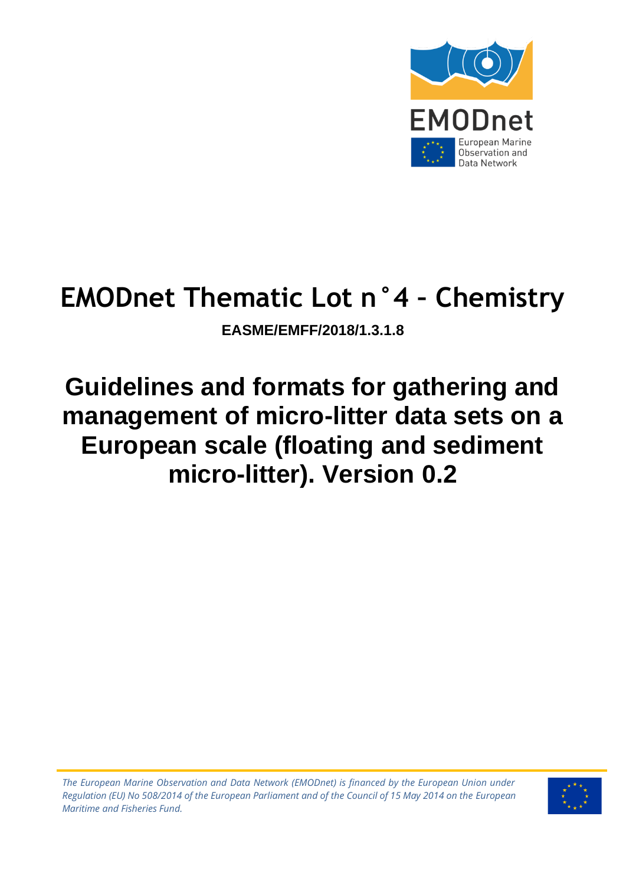

# **EMODnet Thematic Lot n°4 – Chemistry**

**EASME/EMFF/2018/1.3.1.8**

# **Guidelines and formats for gathering and management of micro-litter data sets on a European scale (floating and sediment micro-litter). Version 0.2**

*The European Marine Observation and Data Network (EMODnet) is financed by the European Union under Regulation (EU) No 508/2014 of the European Parliament and of the Council of 15 May 2014 on the European Maritime and Fisheries Fund.*

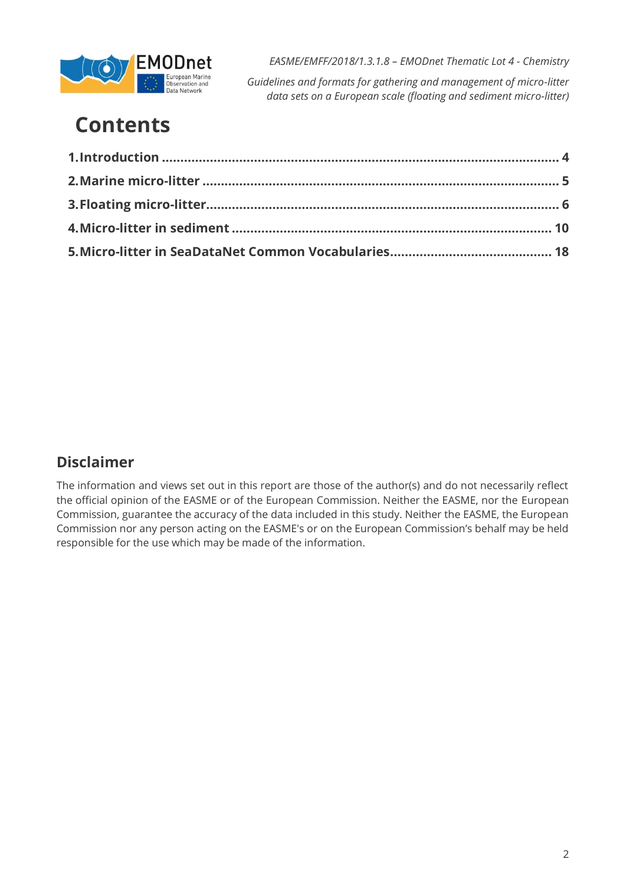

*Guidelines and formats for gathering and management of micro-litter data sets on a European scale (floating and sediment micro-litter)*

# **Contents**

### **Disclaimer**

The information and views set out in this report are those of the author(s) and do not necessarily reflect the official opinion of the EASME or of the European Commission. Neither the EASME, nor the European Commission, guarantee the accuracy of the data included in this study. Neither the EASME, the European Commission nor any person acting on the EASME's or on the European Commission's behalf may be held responsible for the use which may be made of the information.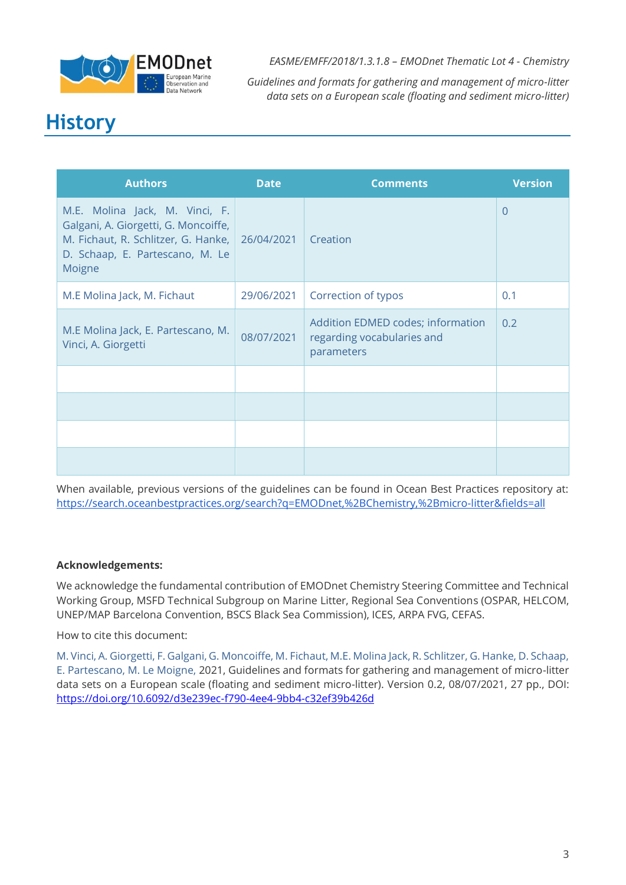

*Guidelines and formats for gathering and management of micro-litter data sets on a European scale (floating and sediment micro-litter)*

### **History**

| <b>Authors</b>                                                                                                                                             | <b>Date</b> | <b>Comments</b>                                                               | <b>Version</b> |
|------------------------------------------------------------------------------------------------------------------------------------------------------------|-------------|-------------------------------------------------------------------------------|----------------|
| M.E. Molina Jack, M. Vinci, F.<br>Galgani, A. Giorgetti, G. Moncoiffe,<br>M. Fichaut, R. Schlitzer, G. Hanke,<br>D. Schaap, E. Partescano, M. Le<br>Moigne | 26/04/2021  | Creation                                                                      | $\overline{0}$ |
| M.E Molina Jack, M. Fichaut                                                                                                                                | 29/06/2021  | Correction of typos                                                           | 0.1            |
| M.E Molina Jack, E. Partescano, M.<br>Vinci, A. Giorgetti                                                                                                  | 08/07/2021  | Addition EDMED codes; information<br>regarding vocabularies and<br>parameters | 0.2            |
|                                                                                                                                                            |             |                                                                               |                |
|                                                                                                                                                            |             |                                                                               |                |
|                                                                                                                                                            |             |                                                                               |                |
|                                                                                                                                                            |             |                                                                               |                |

When available, previous versions of the guidelines can be found in Ocean Best Practices repository at: <https://search.oceanbestpractices.org/search?q=EMODnet,%2BChemistry,%2Bmicro-litter&fields=all>

#### **Acknowledgements:**

We acknowledge the fundamental contribution of EMODnet Chemistry Steering Committee and Technical Working Group, MSFD Technical Subgroup on Marine Litter, Regional Sea Conventions (OSPAR, HELCOM, UNEP/MAP Barcelona Convention, BSCS Black Sea Commission), ICES, ARPA FVG, CEFAS.

How to cite this document:

M. Vinci, A. Giorgetti, F. Galgani, G. Moncoiffe, M. Fichaut, M.E. Molina Jack, R. Schlitzer, G. Hanke, D. Schaap, E. Partescano, M. Le Moigne, 2021, Guidelines and formats for gathering and management of micro-litter data sets on a European scale (floating and sediment micro-litter). Version 0.2, 08/07/2021, 27 pp., DOI: <https://doi.org/10.6092/d3e239ec-f790-4ee4-9bb4-c32ef39b426d>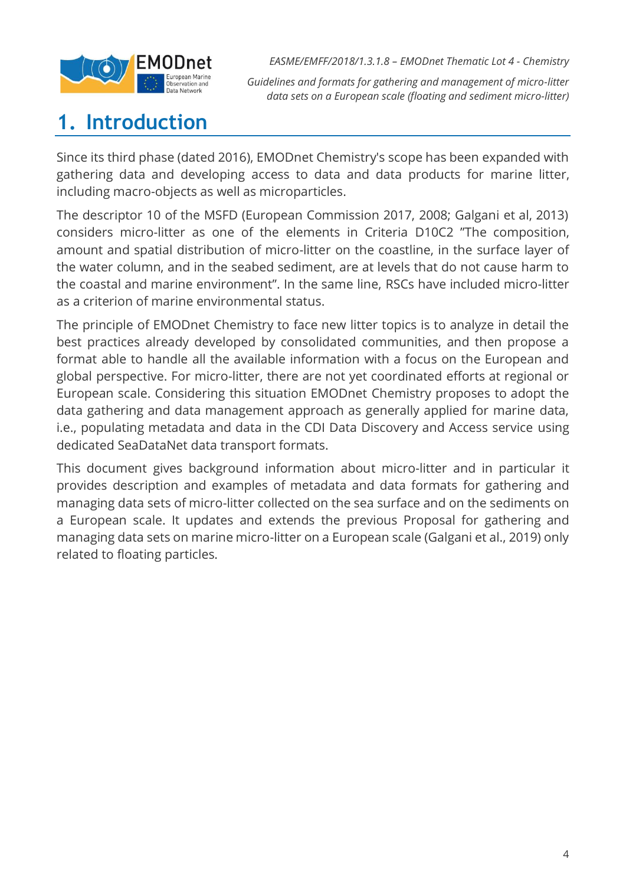

*Guidelines and formats for gathering and management of micro-litter data sets on a European scale (floating and sediment micro-litter)*

## <span id="page-3-0"></span>**1. Introduction**

Since its third phase (dated 2016), EMODnet Chemistry's scope has been expanded with gathering data and developing access to data and data products for marine litter, including macro-objects as well as microparticles.

The descriptor 10 of the MSFD (European Commission 2017, 2008; Galgani et al, 2013) considers micro-litter as one of the elements in Criteria D10C2 "The composition, amount and spatial distribution of micro-litter on the coastline, in the surface layer of the water column, and in the seabed sediment, are at levels that do not cause harm to the coastal and marine environment". In the same line, RSCs have included micro-litter as a criterion of marine environmental status.

The principle of EMODnet Chemistry to face new litter topics is to analyze in detail the best practices already developed by consolidated communities, and then propose a format able to handle all the available information with a focus on the European and global perspective. For micro-litter, there are not yet coordinated efforts at regional or European scale. Considering this situation EMODnet Chemistry proposes to adopt the data gathering and data management approach as generally applied for marine data, i.e., populating metadata and data in the CDI Data Discovery and Access service using dedicated SeaDataNet data transport formats.

This document gives background information about micro-litter and in particular it provides description and examples of metadata and data formats for gathering and managing data sets of micro-litter collected on the sea surface and on the sediments on a European scale. It updates and extends the previous Proposal for gathering and managing data sets on marine micro-litter on a European scale (Galgani et al., 2019) only related to floating particles.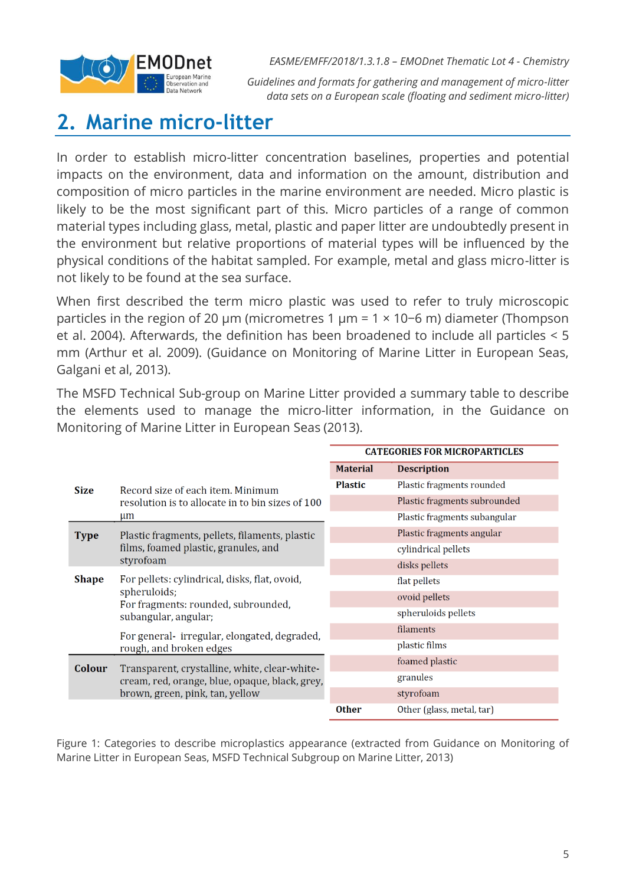

*Guidelines and formats for gathering and management of micro-litter data sets on a European scale (floating and sediment micro-litter)*

### <span id="page-4-0"></span>**2. Marine micro-litter**

In order to establish micro-litter concentration baselines, properties and potential impacts on the environment, data and information on the amount, distribution and composition of micro particles in the marine environment are needed. Micro plastic is likely to be the most significant part of this. Micro particles of a range of common material types including glass, metal, plastic and paper litter are undoubtedly present in the environment but relative proportions of material types will be influenced by the physical conditions of the habitat sampled. For example, metal and glass micro-litter is not likely to be found at the sea surface.

When first described the term micro plastic was used to refer to truly microscopic particles in the region of 20 μm (micrometres 1 µm = 1 × 10−6 m) diameter (Thompson et al. 2004). Afterwards, the definition has been broadened to include all particles < 5 mm (Arthur et al. 2009). (Guidance on Monitoring of Marine Litter in European Seas, Galgani et al, 2013).

The MSFD Technical Sub-group on Marine Litter provided a summary table to describe the elements used to manage the micro-litter information, in the Guidance on Monitoring of Marine Litter in European Seas (2013).

|              |                                                     | <b>CATEGORIES FOR MICROPARTICLES</b> |                              |  |
|--------------|-----------------------------------------------------|--------------------------------------|------------------------------|--|
|              |                                                     | <b>Material</b>                      | <b>Description</b>           |  |
| <b>Size</b>  | Record size of each item. Minimum                   | <b>Plastic</b>                       | Plastic fragments rounded    |  |
|              | resolution is to allocate in to bin sizes of 100    |                                      | Plastic fragments subrounded |  |
|              | $\mu$ m                                             |                                      | Plastic fragments subangular |  |
| <b>Type</b>  | Plastic fragments, pellets, filaments, plastic      |                                      | Plastic fragments angular    |  |
|              | films, foamed plastic, granules, and                |                                      | cylindrical pellets          |  |
|              | styrofoam                                           |                                      | disks pellets                |  |
| <b>Shape</b> | For pellets: cylindrical, disks, flat, ovoid,       |                                      | flat pellets                 |  |
|              | spheruloids;<br>For fragments: rounded, subrounded, |                                      | ovoid pellets                |  |
|              | subangular, angular;                                |                                      | spheruloids pellets          |  |
|              | For general- irregular, elongated, degraded,        |                                      | filaments                    |  |
|              | rough, and broken edges                             |                                      | plastic films                |  |
| Colour       | Transparent, crystalline, white, clear-white-       |                                      | foamed plastic               |  |
|              | cream, red, orange, blue, opaque, black, grey,      |                                      | granules                     |  |
|              | brown, green, pink, tan, yellow                     |                                      | styrofoam                    |  |
|              |                                                     | <b>Other</b>                         | Other (glass, metal, tar)    |  |

Figure 1: Categories to describe microplastics appearance (extracted from Guidance on Monitoring of Marine Litter in European Seas, MSFD Technical Subgroup on Marine Litter, 2013)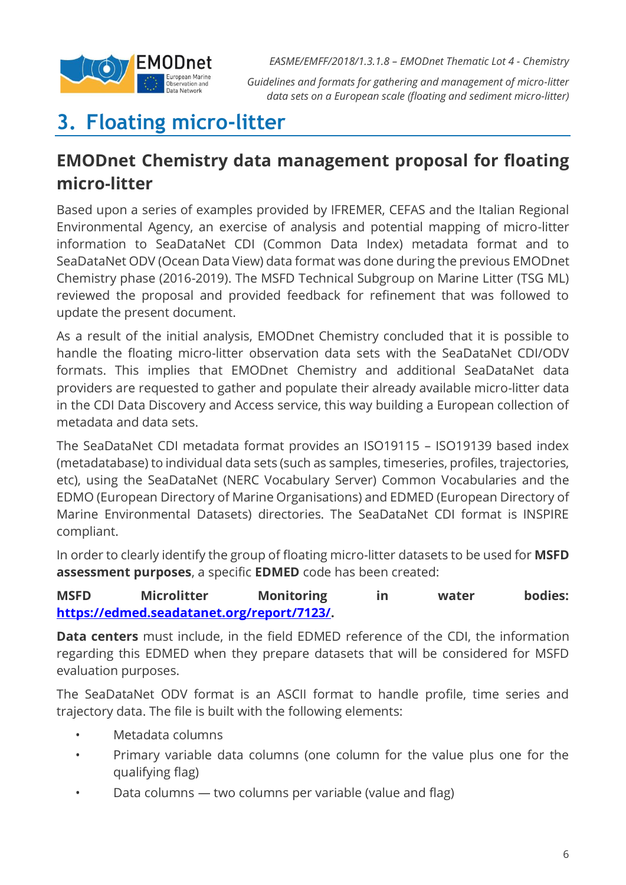

*Guidelines and formats for gathering and management of micro-litter data sets on a European scale (floating and sediment micro-litter)*

## <span id="page-5-0"></span>**3. Floating micro-litter**

### **EMODnet Chemistry data management proposal for floating micro-litter**

Based upon a series of examples provided by IFREMER, CEFAS and the Italian Regional Environmental Agency, an exercise of analysis and potential mapping of micro-litter information to SeaDataNet CDI (Common Data Index) metadata format and to SeaDataNet ODV (Ocean Data View) data format was done during the previous EMODnet Chemistry phase (2016-2019). The MSFD Technical Subgroup on Marine Litter (TSG ML) reviewed the proposal and provided feedback for refinement that was followed to update the present document.

As a result of the initial analysis, EMODnet Chemistry concluded that it is possible to handle the floating micro-litter observation data sets with the SeaDataNet CDI/ODV formats. This implies that EMODnet Chemistry and additional SeaDataNet data providers are requested to gather and populate their already available micro-litter data in the CDI Data Discovery and Access service, this way building a European collection of metadata and data sets.

The SeaDataNet CDI metadata format provides an ISO19115 – ISO19139 based index (metadatabase) to individual data sets (such as samples, timeseries, profiles, trajectories, etc), using the SeaDataNet (NERC Vocabulary Server) Common Vocabularies and the EDMO (European Directory of Marine Organisations) and EDMED (European Directory of Marine Environmental Datasets) directories. The SeaDataNet CDI format is INSPIRE compliant.

In order to clearly identify the group of floating micro-litter datasets to be used for **MSFD assessment purposes**, a specific **EDMED** code has been created:

### **MSFD Microlitter Monitoring in water bodies: [https://edmed.seadatanet.org/report/7123/.](https://edmed.seadatanet.org/report/7123/)**

**Data centers** must include, in the field EDMED reference of the CDI, the information regarding this EDMED when they prepare datasets that will be considered for MSFD evaluation purposes.

The SeaDataNet ODV format is an ASCII format to handle profile, time series and trajectory data. The file is built with the following elements:

- Metadata columns
- Primary variable data columns (one column for the value plus one for the qualifying flag)
- Data columns two columns per variable (value and flag)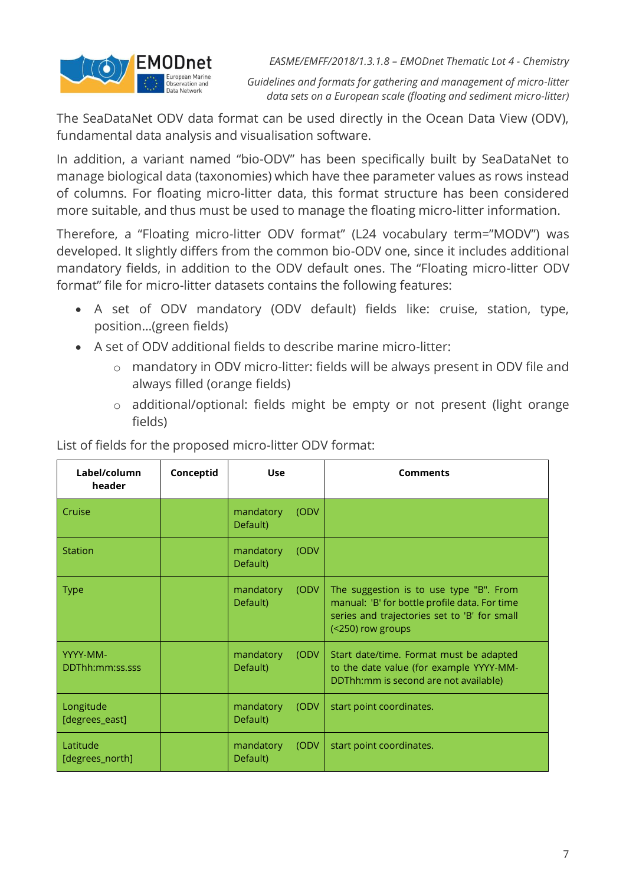

*Guidelines and formats for gathering and management of micro-litter data sets on a European scale (floating and sediment micro-litter)*

The SeaDataNet ODV data format can be used directly in the Ocean Data View (ODV), fundamental data analysis and visualisation software.

In addition, a variant named "bio-ODV" has been specifically built by SeaDataNet to manage biological data (taxonomies) which have thee parameter values as rows instead of columns. For floating micro-litter data, this format structure has been considered more suitable, and thus must be used to manage the floating micro-litter information.

Therefore, a "Floating micro-litter ODV format" (L24 vocabulary term="MODV") was developed. It slightly differs from the common bio-ODV one, since it includes additional mandatory fields, in addition to the ODV default ones. The "Floating micro-litter ODV format" file for micro-litter datasets contains the following features:

- A set of ODV mandatory (ODV default) fields like: cruise, station, type, position…(green fields)
- A set of ODV additional fields to describe marine micro-litter:
	- o mandatory in ODV micro-litter: fields will be always present in ODV file and always filled (orange fields)
	- o additional/optional: fields might be empty or not present (light orange fields)

| Label/column<br>header      | Conceptid | <b>Use</b>            |       | <b>Comments</b>                                                                                                                                               |
|-----------------------------|-----------|-----------------------|-------|---------------------------------------------------------------------------------------------------------------------------------------------------------------|
| Cruise                      |           | mandatory<br>Default) | (ODV  |                                                                                                                                                               |
| <b>Station</b>              |           | mandatory<br>Default) | (ODV  |                                                                                                                                                               |
| <b>Type</b>                 |           | mandatory<br>Default) | (ODV  | The suggestion is to use type "B". From<br>manual: 'B' for bottle profile data. For time<br>series and trajectories set to 'B' for small<br>(<250) row groups |
| YYYY-MM-<br>DDThh:mm:ss.sss |           | mandatory<br>Default) | (ODV) | Start date/time. Format must be adapted<br>to the date value (for example YYYY-MM-<br>DDThh:mm is second are not available)                                   |
| Longitude<br>[degrees_east] |           | mandatory<br>Default) | (ODV) | start point coordinates.                                                                                                                                      |
| Latitude<br>[degrees_north] |           | mandatory<br>Default) | (ODV  | start point coordinates.                                                                                                                                      |

List of fields for the proposed micro-litter ODV format: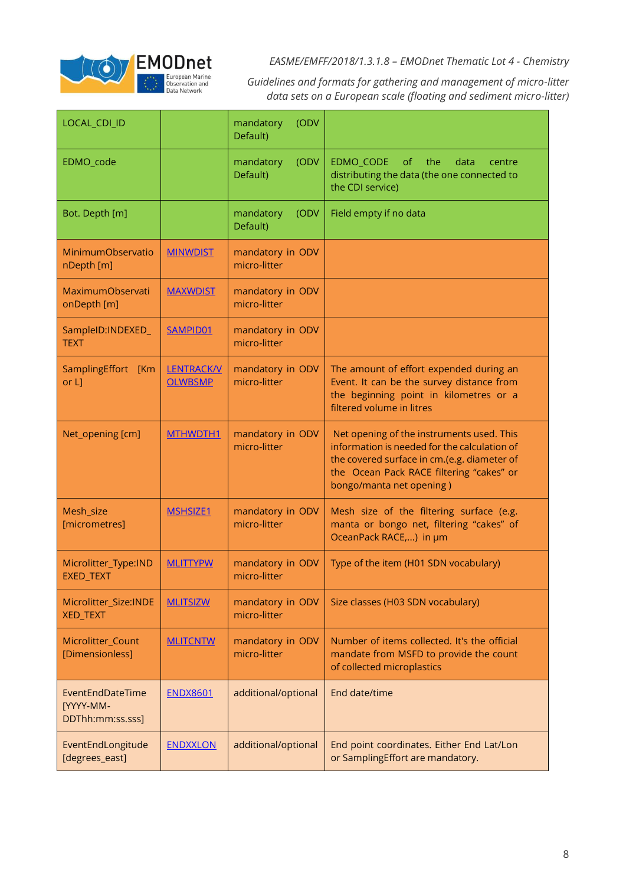

*Guidelines and formats for gathering and management of micro-litter data sets on a European scale (floating and sediment micro-litter)*

| LOCAL_CDI_ID                                             |                                     | (ODV<br>mandatory<br>Default)    |                                                                                                                                                                                                                  |
|----------------------------------------------------------|-------------------------------------|----------------------------------|------------------------------------------------------------------------------------------------------------------------------------------------------------------------------------------------------------------|
| EDMO_code                                                |                                     | (ODV<br>mandatory<br>Default)    | EDMO_CODE<br>$\circ$ f<br>the<br>data<br>centre<br>distributing the data (the one connected to<br>the CDI service)                                                                                               |
| Bot. Depth [m]                                           |                                     | mandatory<br>(ODV<br>Default)    | Field empty if no data                                                                                                                                                                                           |
| MinimumObservatio<br>nDepth [m]                          | <b>MINWDIST</b>                     | mandatory in ODV<br>micro-litter |                                                                                                                                                                                                                  |
| MaximumObservati<br>onDepth [m]                          | <b>MAXWDIST</b>                     | mandatory in ODV<br>micro-litter |                                                                                                                                                                                                                  |
| SampleID:INDEXED_<br><b>TEXT</b>                         | SAMPID01                            | mandatory in ODV<br>micro-litter |                                                                                                                                                                                                                  |
| SamplingEffort [Km<br>or L]                              | <b>LENTRACK/V</b><br><b>OLWBSMP</b> | mandatory in ODV<br>micro-litter | The amount of effort expended during an<br>Event. It can be the survey distance from<br>the beginning point in kilometres or a<br>filtered volume in litres                                                      |
| Net_opening [cm]                                         | MTHWDTH1                            | mandatory in ODV<br>micro-litter | Net opening of the instruments used. This<br>information is needed for the calculation of<br>the covered surface in cm.(e.g. diameter of<br>the Ocean Pack RACE filtering "cakes" or<br>bongo/manta net opening) |
| Mesh_size<br>[micrometres]                               | <b>MSHSIZE1</b>                     | mandatory in ODV<br>micro-litter | Mesh size of the filtering surface (e.g.<br>manta or bongo net, filtering "cakes" of<br>OceanPack RACE,) in µm                                                                                                   |
| Microlitter_Type:IND<br>EXED_TEXT                        | <b>MLITTYPW</b>                     | mandatory in ODV<br>micro-litter | Type of the item (H01 SDN vocabulary)                                                                                                                                                                            |
| Microlitter_Size:INDE<br><b>XED_TEXT</b>                 | <b>MLITSIZW</b>                     | mandatory in ODV<br>micro-litter | Size classes (H03 SDN vocabulary)                                                                                                                                                                                |
| Microlitter_Count<br>[Dimensionless]                     | <b>MLITCNTW</b>                     | mandatory in ODV<br>micro-litter | Number of items collected. It's the official<br>mandate from MSFD to provide the count<br>of collected microplastics                                                                                             |
| EventEndDateTime<br><b>[YYYY-MM-</b><br>DDThh:mm:ss.sss] | <b>ENDX8601</b>                     | additional/optional              | End date/time                                                                                                                                                                                                    |
| EventEndLongitude<br>[degrees_east]                      | <b>ENDXXLON</b>                     | additional/optional              | End point coordinates. Either End Lat/Lon<br>or SamplingEffort are mandatory.                                                                                                                                    |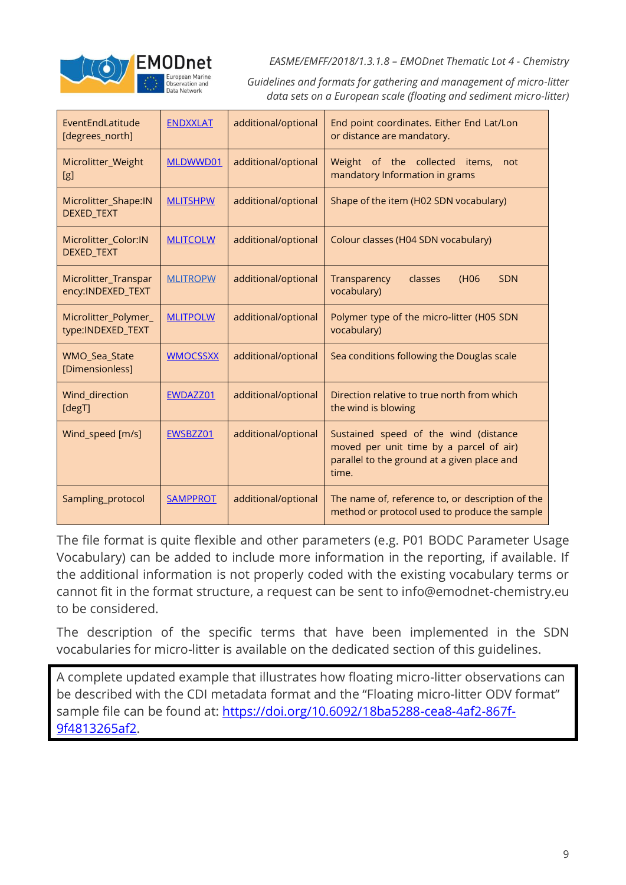

*Guidelines and formats for gathering and management of micro-litter data sets on a European scale (floating and sediment micro-litter)*

| EventEndLatitude<br>[degrees_north]       | <b>ENDXXLAT</b> | additional/optional | End point coordinates. Either End Lat/Lon<br>or distance are mandatory.                                                                  |  |  |
|-------------------------------------------|-----------------|---------------------|------------------------------------------------------------------------------------------------------------------------------------------|--|--|
| Microlitter_Weight<br>[g]                 | MLDWWD01        | additional/optional | Weight of the collected<br>items,<br>not<br>mandatory Information in grams                                                               |  |  |
| Microlitter_Shape:IN<br>DEXED_TEXT        | <b>MLITSHPW</b> | additional/optional | Shape of the item (H02 SDN vocabulary)                                                                                                   |  |  |
| Microlitter Color:IN<br>DEXED_TEXT        | <b>MLITCOLW</b> | additional/optional | Colour classes (H04 SDN vocabulary)                                                                                                      |  |  |
| Microlitter_Transpar<br>ency:INDEXED_TEXT | <b>MLITROPW</b> | additional/optional | <b>SDN</b><br>Transparency<br>classes<br>(H <sub>06</sub><br>vocabulary)                                                                 |  |  |
| Microlitter_Polymer_<br>type:INDEXED_TEXT | <b>MLITPOLW</b> | additional/optional | Polymer type of the micro-litter (H05 SDN<br>vocabulary)                                                                                 |  |  |
| WMO_Sea_State<br>[Dimensionless]          | <b>WMOCSSXX</b> | additional/optional | Sea conditions following the Douglas scale                                                                                               |  |  |
| Wind_direction<br>[degT]                  | EWDAZZ01        | additional/optional | Direction relative to true north from which<br>the wind is blowing                                                                       |  |  |
| Wind_speed [m/s]                          | EWSBZZ01        | additional/optional | Sustained speed of the wind (distance<br>moved per unit time by a parcel of air)<br>parallel to the ground at a given place and<br>time. |  |  |
| Sampling_protocol                         | <b>SAMPPROT</b> | additional/optional | The name of, reference to, or description of the<br>method or protocol used to produce the sample                                        |  |  |

The file format is quite flexible and other parameters (e.g. P01 BODC Parameter Usage Vocabulary) can be added to include more information in the reporting, if available. If the additional information is not properly coded with the existing vocabulary terms or cannot fit in the format structure, a request can be sent to info@emodnet-chemistry.eu to be considered.

The description of the specific terms that have been implemented in the SDN vocabularies for micro-litter is available on the dedicated section of this guidelines.

A complete updated example that illustrates how floating micro-litter observations can be described with the CDI metadata format and the "Floating micro-litter ODV format" sample file can be found at: [https://doi.org/10.6092/18ba5288-cea8-4af2-867f-](https://doi.org/10.6092/18ba5288-cea8-4af2-867f-9f4813265af2)[9f4813265af2.](https://doi.org/10.6092/18ba5288-cea8-4af2-867f-9f4813265af2)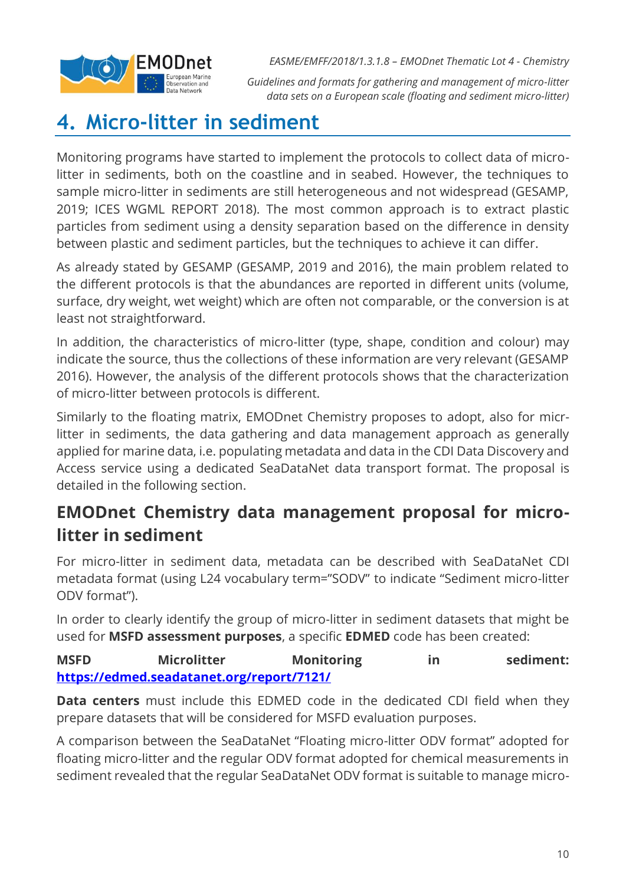

*Guidelines and formats for gathering and management of micro-litter data sets on a European scale (floating and sediment micro-litter)*

### <span id="page-9-0"></span>**4. Micro-litter in sediment**

Monitoring programs have started to implement the protocols to collect data of microlitter in sediments, both on the coastline and in seabed. However, the techniques to sample micro-litter in sediments are still heterogeneous and not widespread (GESAMP, 2019; ICES WGML REPORT 2018). The most common approach is to extract plastic particles from sediment using a density separation based on the difference in density between plastic and sediment particles, but the techniques to achieve it can differ.

As already stated by GESAMP (GESAMP, 2019 and 2016), the main problem related to the different protocols is that the abundances are reported in different units (volume, surface, dry weight, wet weight) which are often not comparable, or the conversion is at least not straightforward.

In addition, the characteristics of micro-litter (type, shape, condition and colour) may indicate the source, thus the collections of these information are very relevant (GESAMP 2016). However, the analysis of the different protocols shows that the characterization of micro-litter between protocols is different.

Similarly to the floating matrix, EMODnet Chemistry proposes to adopt, also for micrlitter in sediments, the data gathering and data management approach as generally applied for marine data, i.e. populating metadata and data in the CDI Data Discovery and Access service using a dedicated SeaDataNet data transport format. The proposal is detailed in the following section.

### **EMODnet Chemistry data management proposal for microlitter in sediment**

For micro-litter in sediment data, metadata can be described with SeaDataNet CDI metadata format (using L24 vocabulary term="SODV" to indicate "Sediment micro-litter ODV format").

In order to clearly identify the group of micro-litter in sediment datasets that might be used for **MSFD assessment purposes**, a specific **EDMED** code has been created:

MSFD Microlitter Monitoring in sediment: **<https://edmed.seadatanet.org/report/7121/>**

**Data centers** must include this EDMED code in the dedicated CDI field when they prepare datasets that will be considered for MSFD evaluation purposes.

A comparison between the SeaDataNet "Floating micro-litter ODV format" adopted for floating micro-litter and the regular ODV format adopted for chemical measurements in sediment revealed that the regular SeaDataNet ODV format is suitable to manage micro-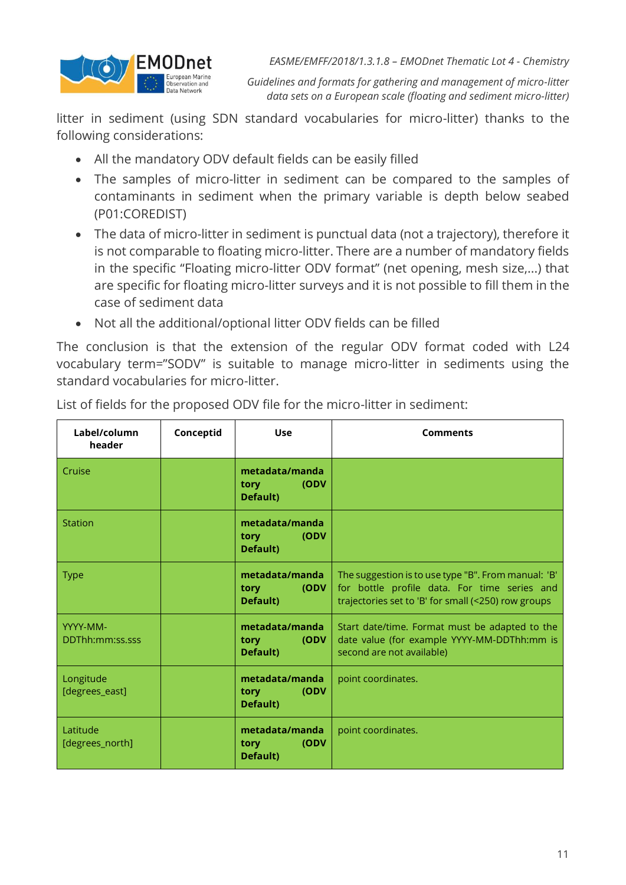

*Guidelines and formats for gathering and management of micro-litter data sets on a European scale (floating and sediment micro-litter)*

litter in sediment (using SDN standard vocabularies for micro-litter) thanks to the following considerations:

- All the mandatory ODV default fields can be easily filled
- The samples of micro-litter in sediment can be compared to the samples of contaminants in sediment when the primary variable is depth below seabed (P01:COREDIST)
- The data of micro-litter in sediment is punctual data (not a trajectory), therefore it is not comparable to floating micro-litter. There are a number of mandatory fields in the specific "Floating micro-litter ODV format" (net opening, mesh size,...) that are specific for floating micro-litter surveys and it is not possible to fill them in the case of sediment data
- Not all the additional/optional litter ODV fields can be filled

The conclusion is that the extension of the regular ODV format coded with L24 vocabulary term="SODV" is suitable to manage micro-litter in sediments using the standard vocabularies for micro-litter.

| Label/column<br>header      | Conceptid | <b>Use</b>                                               | <b>Comments</b>                                                                                                                                            |
|-----------------------------|-----------|----------------------------------------------------------|------------------------------------------------------------------------------------------------------------------------------------------------------------|
| Cruise                      |           | metadata/manda<br>(ODV<br><b>tory</b><br><b>Default)</b> |                                                                                                                                                            |
| <b>Station</b>              |           | metadata/manda<br>(ODV<br><b>tory</b><br>Default)        |                                                                                                                                                            |
| <b>Type</b>                 |           | metadata/manda<br>(ODV<br>tory torm<br>Default)          | The suggestion is to use type "B". From manual: 'B'<br>for bottle profile data. For time series and<br>trajectories set to 'B' for small (<250) row groups |
| YYYY-MM-<br>DDThh:mm:ss.sss |           | metadata/manda<br>(ODV<br><b>tory</b><br><b>Default)</b> | Start date/time. Format must be adapted to the<br>date value (for example YYYY-MM-DDThh:mm is<br>second are not available)                                 |
| Longitude<br>[degrees_east] |           | metadata/manda<br>(ODV<br><b>tory</b><br>Default)        | point coordinates.                                                                                                                                         |
| Latitude<br>[degrees_north] |           | metadata/manda<br>(ODV<br><b>tory</b><br>Default)        | point coordinates.                                                                                                                                         |

List of fields for the proposed ODV file for the micro-litter in sediment: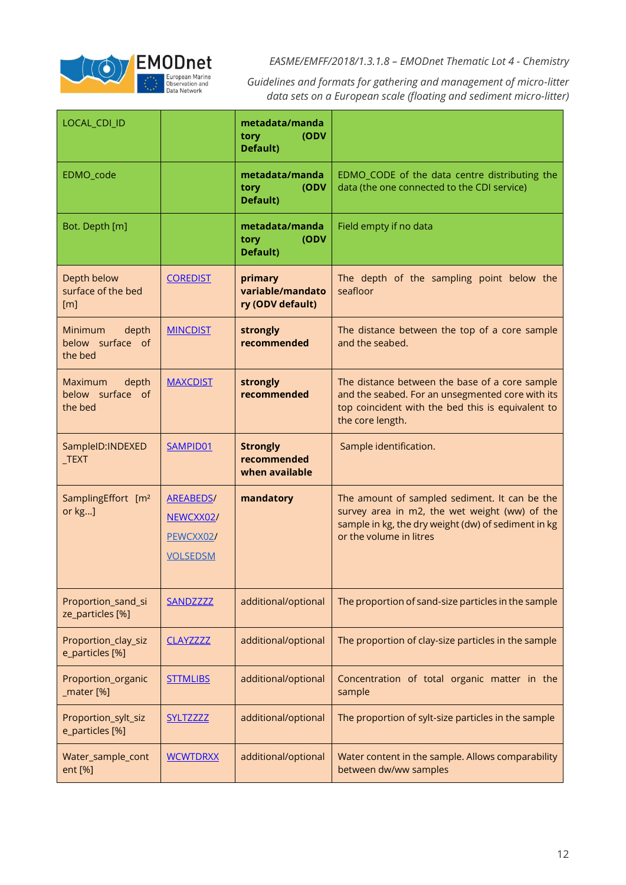

*Guidelines and formats for gathering and management of micro-litter data sets on a European scale (floating and sediment micro-litter)*

| LOCAL_CDI_ID                                           |                                                               | metadata/manda<br>(ODV<br>tory<br>Default)       |                                                                                                                                                                                  |
|--------------------------------------------------------|---------------------------------------------------------------|--------------------------------------------------|----------------------------------------------------------------------------------------------------------------------------------------------------------------------------------|
| EDMO_code                                              |                                                               | metadata/manda<br>tory<br>(ODV<br>Default)       | EDMO_CODE of the data centre distributing the<br>data (the one connected to the CDI service)                                                                                     |
| Bot. Depth [m]                                         |                                                               | metadata/manda<br>(ODV<br>tory<br>Default)       | Field empty if no data                                                                                                                                                           |
| Depth below<br>surface of the bed<br>$\lceil m \rceil$ | <b>COREDIST</b>                                               | primary<br>variable/mandato<br>ry (ODV default)  | The depth of the sampling point below the<br>seafloor                                                                                                                            |
| depth<br>Minimum<br>below surface of<br>the bed        | <b>MINCDIST</b>                                               | strongly<br>recommended                          | The distance between the top of a core sample<br>and the seabed.                                                                                                                 |
| depth<br><b>Maximum</b><br>below surface of<br>the bed | <b>MAXCDIST</b>                                               | strongly<br>recommended                          | The distance between the base of a core sample<br>and the seabed. For an unsegmented core with its<br>top coincident with the bed this is equivalent to<br>the core length.      |
| SampleID: INDEXED<br>$_T$ EXT                          | SAMPID01                                                      | <b>Strongly</b><br>recommended<br>when available | Sample identification.                                                                                                                                                           |
| SamplingEffort [m <sup>2</sup><br>or kg]               | <b>AREABEDS/</b><br>NEWCXX02/<br>PEWCXX02/<br><b>VOLSEDSM</b> | mandatory                                        | The amount of sampled sediment. It can be the<br>survey area in m2, the wet weight (ww) of the<br>sample in kg, the dry weight (dw) of sediment in kg<br>or the volume in litres |
| Proportion_sand_si<br>ze_particles [%]                 | SANDZZZZ                                                      | additional/optional                              | The proportion of sand-size particles in the sample                                                                                                                              |
| Proportion_clay_siz<br>e_particles [%]                 | <b>CLAYZZZZZ</b>                                              | additional/optional                              | The proportion of clay-size particles in the sample                                                                                                                              |
| Proportion_organic<br>_mater [%]                       | <b>STTMLIBS</b>                                               | additional/optional                              | Concentration of total organic matter in the<br>sample                                                                                                                           |
| Proportion_sylt_siz<br>e_particles [%]                 | <b>SYLTZZZZZ</b>                                              | additional/optional                              | The proportion of sylt-size particles in the sample                                                                                                                              |
| Water_sample_cont<br>ent [%]                           | <b>WCWTDRXX</b>                                               | additional/optional                              | Water content in the sample. Allows comparability<br>between dw/ww samples                                                                                                       |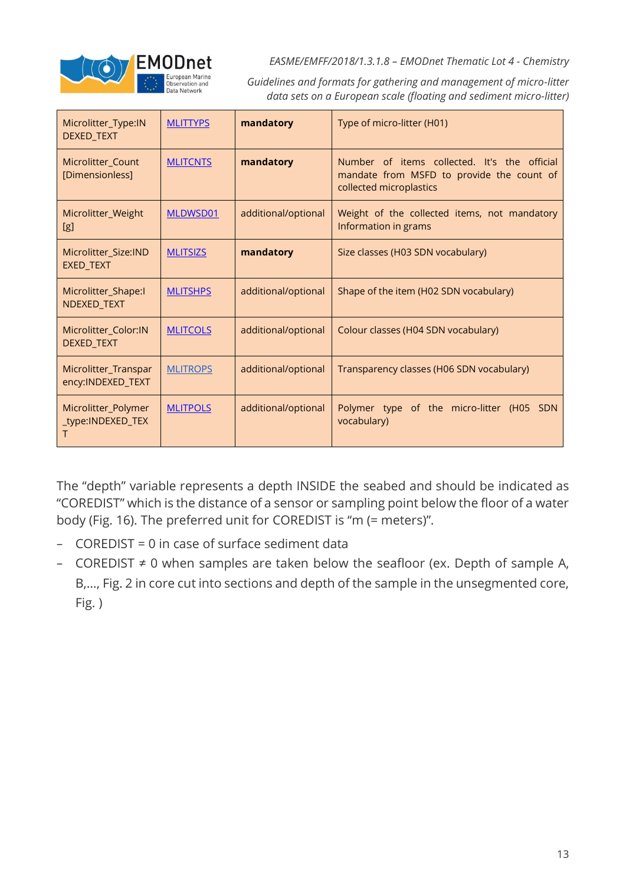

*Guidelines and formats for gathering and management of micro-litter data sets on a European scale (floating and sediment micro-litter)*

| Microlitter_Type:IN<br>DEXED_TEXT         | <b>MLITTYPS</b> | mandatory           | Type of micro-litter (H01)                                                                                           |
|-------------------------------------------|-----------------|---------------------|----------------------------------------------------------------------------------------------------------------------|
| Microlitter_Count<br>[Dimensionless]      | <b>MLITCNTS</b> | mandatory           | Number of items collected. It's the official<br>mandate from MSFD to provide the count of<br>collected microplastics |
| Microlitter_Weight<br>[g]                 | MLDWSD01        | additional/optional | Weight of the collected items, not mandatory<br>Information in grams                                                 |
| Microlitter_Size:IND<br>EXED_TEXT         | <b>MLITSIZS</b> | mandatory           | Size classes (H03 SDN vocabulary)                                                                                    |
| Microlitter_Shape:I<br>NDEXED_TEXT        | <b>MLITSHPS</b> | additional/optional | Shape of the item (H02 SDN vocabulary)                                                                               |
| Microlitter_Color:IN<br>DEXED_TEXT        | <b>MLITCOLS</b> | additional/optional | Colour classes (H04 SDN vocabulary)                                                                                  |
| Microlitter_Transpar<br>ency:INDEXED_TEXT | <b>MLITROPS</b> | additional/optional | Transparency classes (H06 SDN vocabulary)                                                                            |
| Microlitter_Polymer<br>_type:INDEXED_TEX  | <b>MLITPOLS</b> | additional/optional | Polymer type of the micro-litter (H05<br>SDN<br>vocabulary)                                                          |

The "depth" variable represents a depth INSIDE the seabed and should be indicated as "COREDIST" which is the distance of a sensor or sampling point below the floor of a water body (Fig. 16). The preferred unit for COREDIST is "m (= meters)".

- − COREDIST = 0 in case of surface sediment data
- − COREDIST ≠ 0 when samples are taken below the seafloor (ex. Depth of sample A, B,…, Fig. 2 in core cut into sections and depth of the sample in the unsegmented core, Fig. )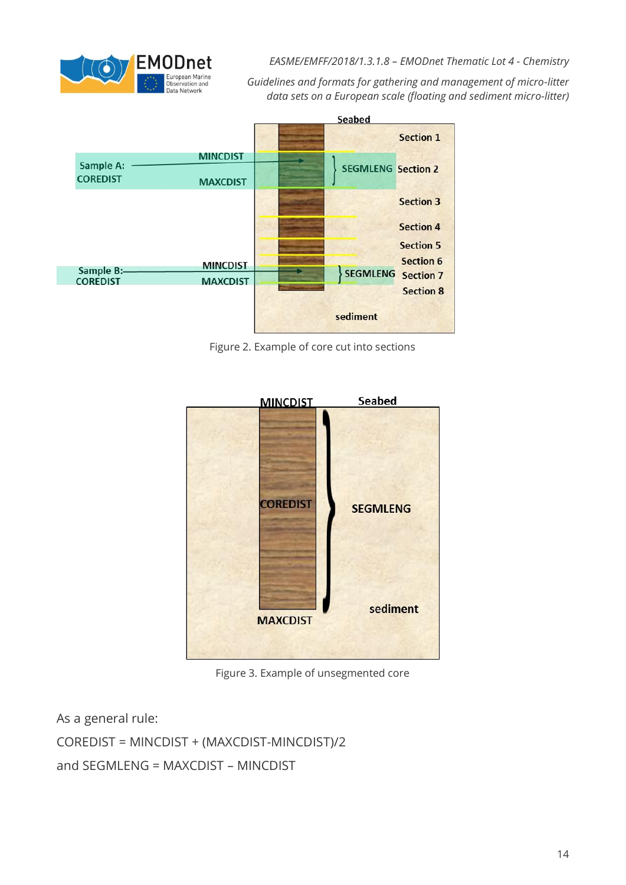

*Guidelines and formats for gathering and management of micro-litter data sets on a European scale (floating and sediment micro-litter)*



Figure 2. Example of core cut into sections



Figure 3. Example of unsegmented core

As a general rule: COREDIST = MINCDIST + (MAXCDIST-MINCDIST)/2 and SEGMLENG = MAXCDIST – MINCDIST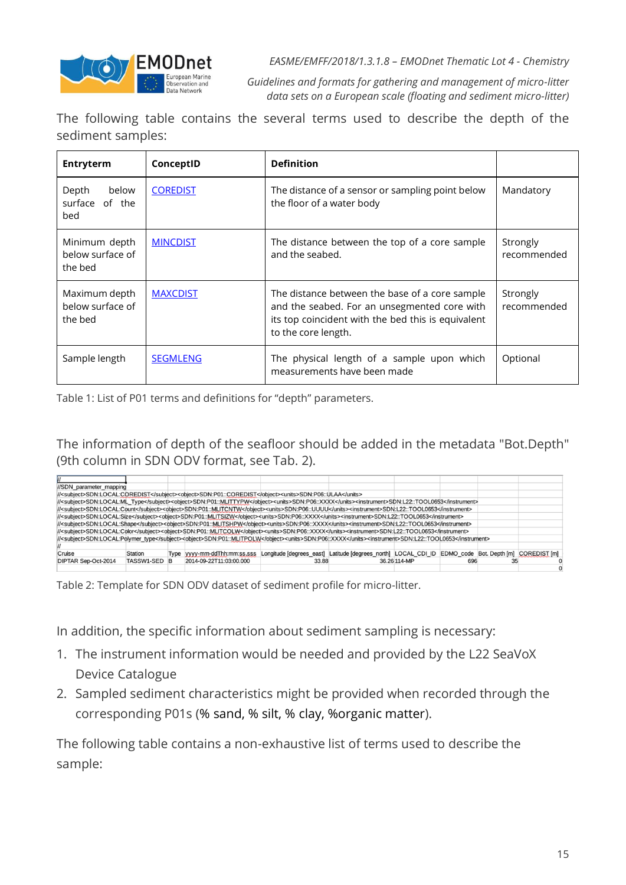

*Guidelines and formats for gathering and management of micro-litter data sets on a European scale (floating and sediment micro-litter)*

The following table contains the several terms used to describe the depth of the sediment samples:

| Entryterm                                    | ConceptID       | <b>Definition</b>                                                                                                                                                           |                         |
|----------------------------------------------|-----------------|-----------------------------------------------------------------------------------------------------------------------------------------------------------------------------|-------------------------|
| below<br>Depth<br>surface of the<br>bed      | <b>COREDIST</b> | The distance of a sensor or sampling point below<br>the floor of a water body                                                                                               | Mandatory               |
| Minimum depth<br>below surface of<br>the bed | <b>MINCDIST</b> | The distance between the top of a core sample<br>and the seabed.                                                                                                            | Strongly<br>recommended |
| Maximum depth<br>below surface of<br>the bed | <b>MAXCDIST</b> | The distance between the base of a core sample<br>and the seabed. For an unsegmented core with<br>its top coincident with the bed this is equivalent<br>to the core length. | Strongly<br>recommended |
| Sample length                                | <b>SEGMLENG</b> | The physical length of a sample upon which<br>measurements have been made                                                                                                   | Optional                |

Table 1: List of P01 terms and definitions for "depth" parameters.

The information of depth of the seafloor should be added in the metadata "Bot.Depth" (9th column in SDN ODV format, see Tab. 2).

| //SDN parameter mapping    |              |                                                                                                                                                          |                                                                                                      |              |     |  |
|----------------------------|--------------|----------------------------------------------------------------------------------------------------------------------------------------------------------|------------------------------------------------------------------------------------------------------|--------------|-----|--|
|                            |              | /// <subject>SDN:LOCAL:COREDIST</subject> <object>SDN:P01::COREDIST</object> <units>SDN:P06::ULAA</units>                                                |                                                                                                      |              |     |  |
|                            |              | /// <subject>SDN:LOCAL:ML_Type</subject> <object>SDN:P01::MLITTYPW</object> <units>SDN:P06::XXXX</units> <instrument>SDN:L22::TOOL0653</instrument>      |                                                                                                      |              |     |  |
|                            |              | /// <subject>SDN:LOCAL:Count</subject> <object>SDN:P01::MLITCNTW</object> <units>SDN:P06::UUUU</units> <instrument>SDN:L22::TOOL0653</instrument>        |                                                                                                      |              |     |  |
|                            |              | /// <subject>SDN:LOCAL:Size</subject> <object>SDN:P01::MLITSIZW</object> <units>SDN:P06::XXXX</units> <instrument>SDN:L22::TOOL0653</instrument>         |                                                                                                      |              |     |  |
|                            |              | /// <subject>SDN:LOCAL:Shape</subject> <blject>SDN:P01::MLITSHPW<units>SDN:P06::XXXX</units><instrument>SDN:L22::TOOL0653</instrument></blject>          |                                                                                                      |              |     |  |
|                            |              | /// <subject>SDN:LOCAL:Color</subject> <object>SDN:P01::MLITCQLW</object> <units>SDN:P06::XXXX</units> <instrument>SDN:L22::TOOL0653</instrument>        |                                                                                                      |              |     |  |
|                            |              | /// <subject>SDN:LOCAL:Polymer_type</subject> <object>SDN:P01::MLITPOLW</object> <units>SDN:P06::XXXX</units> <instrument>SDN:L22::TOOL0653</instrument> |                                                                                                      |              |     |  |
|                            |              |                                                                                                                                                          |                                                                                                      |              |     |  |
| Cruise                     | Station      | Type vyyy-mm-ddThh:mm:ss.sss                                                                                                                             | Longitude [degrees_east] Latitude [degrees_north] LOCAL_CDI_ID EDMO_code Bot. Depth [m] COREDIST [m] |              |     |  |
| <b>DIPTAR Sep-Oct-2014</b> | TASSW1-SED B | 2014-09-22T11:03:00.000                                                                                                                                  | 33.88                                                                                                | 36.26 114-MP | 696 |  |
|                            |              |                                                                                                                                                          |                                                                                                      |              |     |  |

Table 2: Template for SDN ODV dataset of sediment profile for micro-litter.

In addition, the specific information about sediment sampling is necessary:

- 1. The instrument information would be needed and provided by the L22 SeaVoX Device Catalogue
- 2. Sampled sediment characteristics might be provided when recorded through the corresponding P01s (% sand, % silt, % clay, %organic matter).

The following table contains a non-exhaustive list of terms used to describe the sample: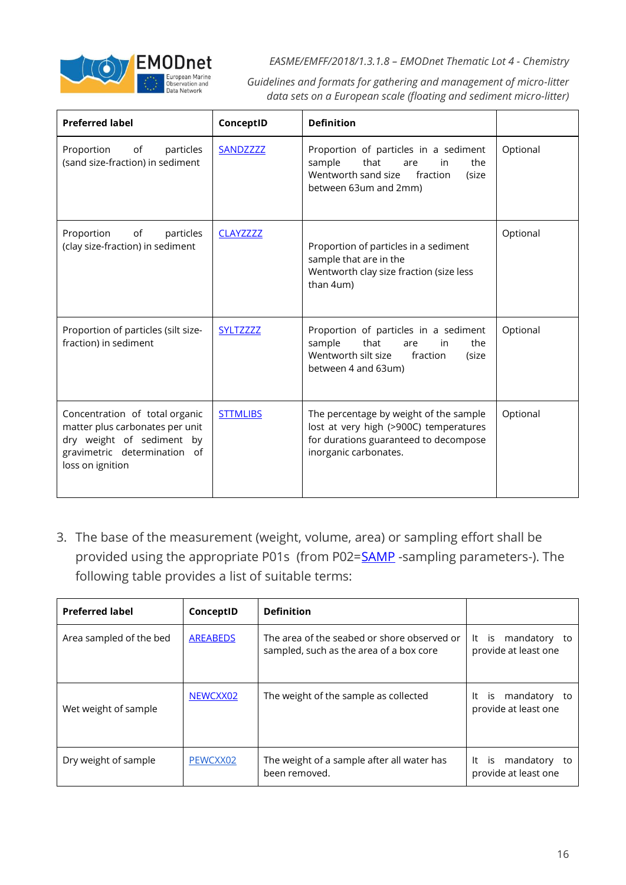

*Guidelines and formats for gathering and management of micro-litter data sets on a European scale (floating and sediment micro-litter)*

| <b>Preferred label</b>                                                                                                                             | ConceptID        | <b>Definition</b>                                                                                                                                  |          |
|----------------------------------------------------------------------------------------------------------------------------------------------------|------------------|----------------------------------------------------------------------------------------------------------------------------------------------------|----------|
| Proportion of<br>particles<br>(sand size-fraction) in sediment                                                                                     | SANDZZZZ         | Proportion of particles in a sediment<br>the<br>sample<br>that<br>in<br>are<br>Wentworth sand size<br>fraction<br>(size<br>between 63um and 2mm)   | Optional |
| of<br>Proportion<br>particles<br>(clay size-fraction) in sediment                                                                                  | <b>CLAYZZZZZ</b> | Proportion of particles in a sediment<br>sample that are in the<br>Wentworth clay size fraction (size less<br>than 4um)                            | Optional |
| Proportion of particles (silt size-<br>fraction) in sediment                                                                                       | <b>SYLTZZZZZ</b> | Proportion of particles in a sediment<br>sample<br>that<br>the<br>in<br>are<br>Wentworth silt size<br>fraction<br>(size<br>between 4 and 63um)     | Optional |
| Concentration of total organic<br>matter plus carbonates per unit<br>dry weight of sediment by<br>gravimetric determination of<br>loss on ignition | <b>STTMLIBS</b>  | The percentage by weight of the sample<br>lost at very high (>900C) temperatures<br>for durations guaranteed to decompose<br>inorganic carbonates. | Optional |

3. The base of the measurement (weight, volume, area) or sampling effort shall be provided using the appropriate P01s (from P02[=SAMP](http://vocab.nerc.ac.uk/collection/P02/current/SAMP/) -sampling parameters-). The following table provides a list of suitable terms:

| <b>Preferred label</b>  | ConceptID       | <b>Definition</b>                                                                      |                                                  |
|-------------------------|-----------------|----------------------------------------------------------------------------------------|--------------------------------------------------|
| Area sampled of the bed | <b>AREABEDS</b> | The area of the seabed or shore observed or<br>sampled, such as the area of a box core | mandatory to<br>It is<br>provide at least one    |
| Wet weight of sample    | NEWCXX02        | The weight of the sample as collected                                                  | mandatory to<br>It<br>İS<br>provide at least one |
| Dry weight of sample    | PEWCXX02        | The weight of a sample after all water has<br>been removed.                            | mandatory to<br>is<br>It<br>provide at least one |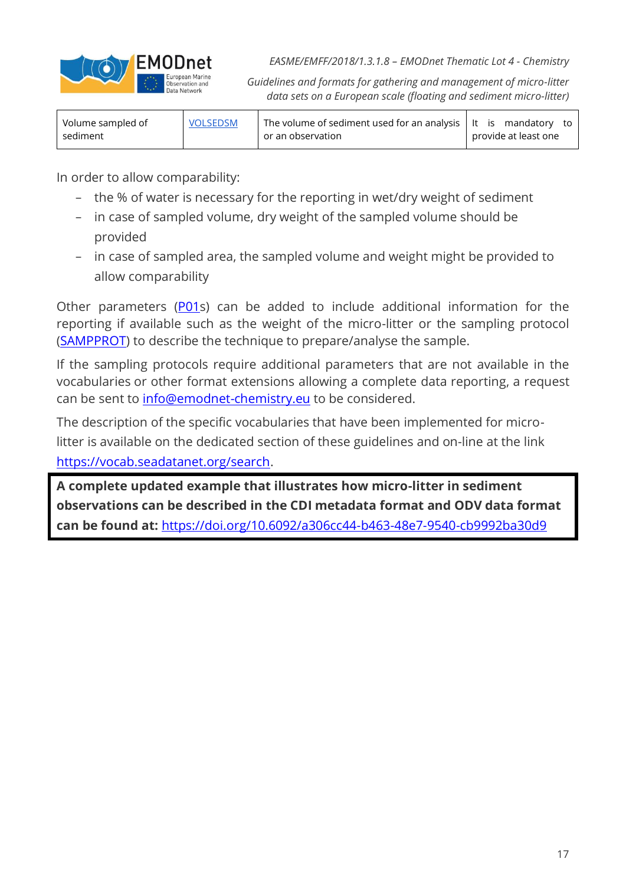

*Guidelines and formats for gathering and management of micro-litter data sets on a European scale (floating and sediment micro-litter)*

| Volume sampled of | <b>VOLSEDSM</b> | The volume of sediment used for an analysis $ $ It is mandatory to |  |                      |  |
|-------------------|-----------------|--------------------------------------------------------------------|--|----------------------|--|
| sediment          |                 | or an observation                                                  |  | provide at least one |  |

In order to allow comparability:

- − the % of water is necessary for the reporting in wet/dry weight of sediment
- − in case of sampled volume, dry weight of the sampled volume should be provided
- − in case of sampled area, the sampled volume and weight might be provided to allow comparability

Other parameters [\(P01s](https://vocab.seadatanet.org/p01-facet-search)) can be added to include additional information for the reporting if available such as the weight of the micro-litter or the sampling protocol [\(SAMPPROT\)](http://vocab.nerc.ac.uk/collection/P01/current/SAMPPROT/) to describe the technique to prepare/analyse the sample.

If the sampling protocols require additional parameters that are not available in the vocabularies or other format extensions allowing a complete data reporting, a request can be sent to [info@emodnet-chemistry.eu](mailto:info@emodnet-chemistry.eu) to be considered.

The description of the specific vocabularies that have been implemented for microlitter is available on the dedicated section of these guidelines and on-line at the link [https://vocab.seadatanet.org/search.](https://vocab.seadatanet.org/search)

**A complete updated example that illustrates how micro-litter in sediment observations can be described in the CDI metadata format and ODV data format can be found at:** <https://doi.org/10.6092/a306cc44-b463-48e7-9540-cb9992ba30d9>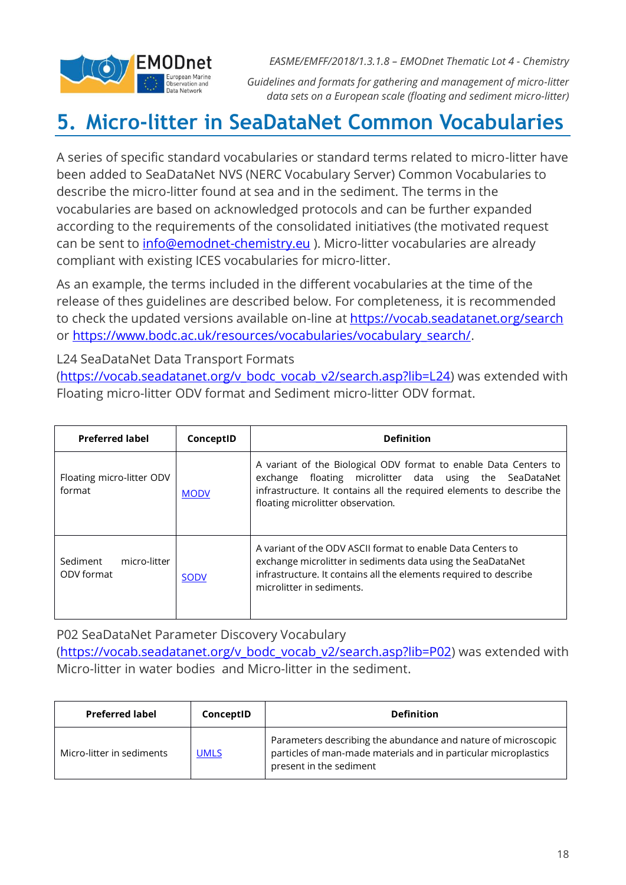

*Guidelines and formats for gathering and management of micro-litter data sets on a European scale (floating and sediment micro-litter)*

### <span id="page-17-0"></span>**5. Micro-litter in SeaDataNet Common Vocabularies**

A series of specific standard vocabularies or standard terms related to micro-litter have been added to SeaDataNet NVS (NERC Vocabulary Server) Common Vocabularies to describe the micro-litter found at sea and in the sediment. The terms in the vocabularies are based on acknowledged protocols and can be further expanded according to the requirements of the consolidated initiatives (the motivated request can be sent to *info@emodnet-chemistry.eu* ). Micro-litter vocabularies are already compliant with existing ICES vocabularies for micro-litter.

As an example, the terms included in the different vocabularies at the time of the release of thes guidelines are described below. For completeness, it is recommended to check the updated versions available on-line at https://vocab.seadatanet.org/search or [https://www.bodc.ac.uk/resources/vocabularies/vocabulary\\_search/.](https://www.bodc.ac.uk/resources/vocabularies/vocabulary_search/)

L24 SeaDataNet Data Transport Formats [\(https://vocab.seadatanet.org/v\\_bodc\\_vocab\\_v2/search.asp?lib=L24\)](https://vocab.seadatanet.org/v_bodc_vocab_v2/search.asp?lib=L24) was extended with Floating micro-litter ODV format and Sediment micro-litter ODV format.

| <b>Preferred label</b>                 | ConceptID   | <b>Definition</b>                                                                                                                                                                                                                            |
|----------------------------------------|-------------|----------------------------------------------------------------------------------------------------------------------------------------------------------------------------------------------------------------------------------------------|
| Floating micro-litter ODV<br>format    | <b>MODV</b> | A variant of the Biological ODV format to enable Data Centers to<br>floating microlitter data using the SeaDataNet<br>exchange<br>infrastructure. It contains all the required elements to describe the<br>floating microlitter observation. |
| Sediment<br>micro-litter<br>ODV format | <b>SODV</b> | A variant of the ODV ASCII format to enable Data Centers to<br>exchange microlitter in sediments data using the SeaDataNet<br>infrastructure. It contains all the elements required to describe<br>microlitter in sediments.                 |

P02 SeaDataNet Parameter Discovery Vocabulary [\(https://vocab.seadatanet.org/v\\_bodc\\_vocab\\_v2/search.asp?lib=P02\)](https://vocab.seadatanet.org/v_bodc_vocab_v2/search.asp?lib=P02) was extended with Micro-litter in water bodies and Micro-litter in the sediment.

| <b>Preferred label</b>    | ConceptID   | <b>Definition</b>                                                                                                                                           |
|---------------------------|-------------|-------------------------------------------------------------------------------------------------------------------------------------------------------------|
| Micro-litter in sediments | <b>UMLS</b> | Parameters describing the abundance and nature of microscopic<br>particles of man-made materials and in particular microplastics<br>present in the sediment |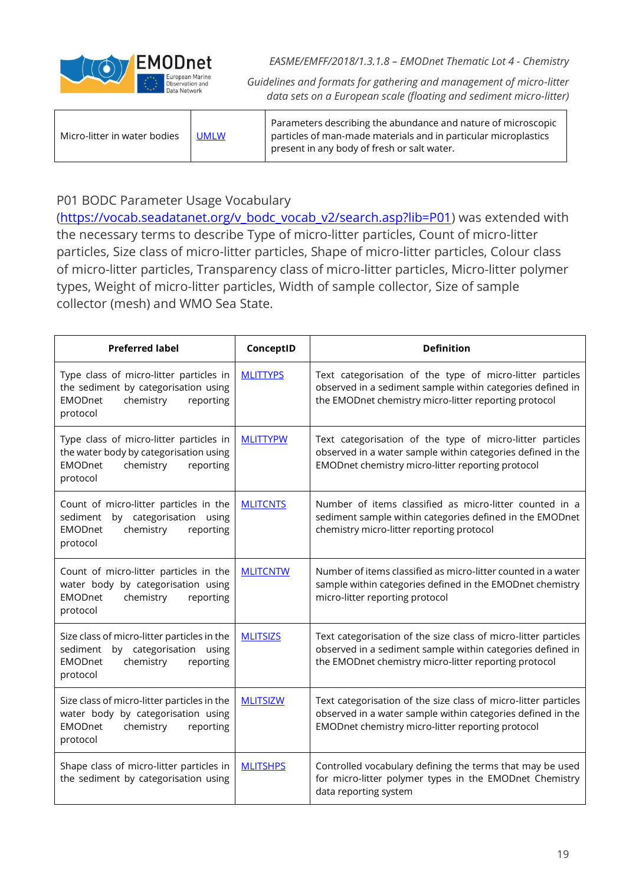

*Guidelines and formats for gathering and management of micro-litter data sets on a European scale (floating and sediment micro-litter)*

| Micro-litter in water bodies | <b>UMLW</b> | Parameters describing the abundance and nature of microscopic<br>particles of man-made materials and in particular microplastics<br>present in any body of fresh or salt water. |
|------------------------------|-------------|---------------------------------------------------------------------------------------------------------------------------------------------------------------------------------|
|------------------------------|-------------|---------------------------------------------------------------------------------------------------------------------------------------------------------------------------------|

#### P01 BODC Parameter Usage Vocabulary

[\(https://vocab.seadatanet.org/v\\_bodc\\_vocab\\_v2/search.asp?lib=P01\)](https://vocab.seadatanet.org/v_bodc_vocab_v2/search.asp?lib=P01) was extended with the necessary terms to describe Type of micro-litter particles, Count of micro-litter particles, Size class of micro-litter particles, Shape of micro-litter particles, Colour class of micro-litter particles, Transparency class of micro-litter particles, Micro-litter polymer types, Weight of micro-litter particles, Width of sample collector, Size of sample collector (mesh) and WMO Sea State.

| <b>Preferred label</b>                                                                                                                        | ConceptID       | <b>Definition</b>                                                                                                                                                                      |
|-----------------------------------------------------------------------------------------------------------------------------------------------|-----------------|----------------------------------------------------------------------------------------------------------------------------------------------------------------------------------------|
| Type class of micro-litter particles in<br>the sediment by categorisation using<br><b>EMODnet</b><br>chemistry<br>reporting<br>protocol       | <b>MLITTYPS</b> | Text categorisation of the type of micro-litter particles<br>observed in a sediment sample within categories defined in<br>the EMODnet chemistry micro-litter reporting protocol       |
| Type class of micro-litter particles in<br>the water body by categorisation using<br><b>EMODnet</b><br>chemistry<br>reporting<br>protocol     | <b>MLITTYPW</b> | Text categorisation of the type of micro-litter particles<br>observed in a water sample within categories defined in the<br>EMODnet chemistry micro-litter reporting protocol          |
| Count of micro-litter particles in the<br>sediment by categorisation using<br><b>EMODnet</b><br>chemistry<br>reporting<br>protocol            | <b>MLITCNTS</b> | Number of items classified as micro-litter counted in a<br>sediment sample within categories defined in the EMODnet<br>chemistry micro-litter reporting protocol                       |
| Count of micro-litter particles in the<br>water body by categorisation using<br><b>EMODnet</b><br>chemistry<br>reporting<br>protocol          | <b>MLITCNTW</b> | Number of items classified as micro-litter counted in a water<br>sample within categories defined in the EMODnet chemistry<br>micro-litter reporting protocol                          |
| Size class of micro-litter particles in the<br>sediment<br>by categorisation<br>using<br><b>EMODnet</b><br>chemistry<br>reporting<br>protocol | <b>MLITSIZS</b> | Text categorisation of the size class of micro-litter particles<br>observed in a sediment sample within categories defined in<br>the EMODnet chemistry micro-litter reporting protocol |
| Size class of micro-litter particles in the<br>water body by categorisation using<br><b>EMODnet</b><br>chemistry<br>reporting<br>protocol     | <b>MLITSIZW</b> | Text categorisation of the size class of micro-litter particles<br>observed in a water sample within categories defined in the<br>EMODnet chemistry micro-litter reporting protocol    |
| Shape class of micro-litter particles in<br>the sediment by categorisation using                                                              | <b>MLITSHPS</b> | Controlled vocabulary defining the terms that may be used<br>for micro-litter polymer types in the EMODnet Chemistry<br>data reporting system                                          |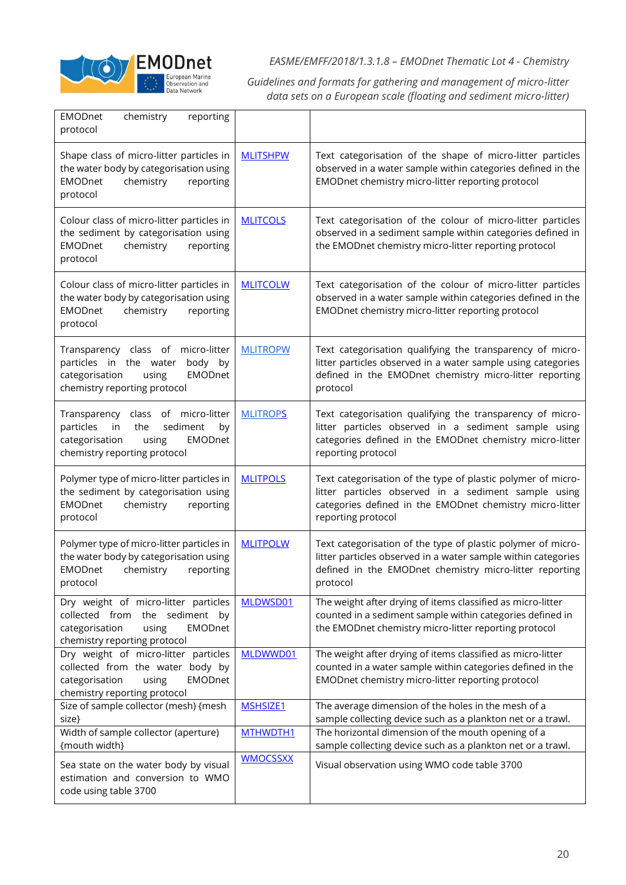

*Guidelines and formats for gathering and management of micro-litter data sets on a European scale (floating and sediment micro-litter)*

| <b>EMODnet</b><br>chemistry<br>reporting<br>protocol                                                                                                    |                 |                                                                                                                                                                                                        |
|---------------------------------------------------------------------------------------------------------------------------------------------------------|-----------------|--------------------------------------------------------------------------------------------------------------------------------------------------------------------------------------------------------|
| Shape class of micro-litter particles in<br>the water body by categorisation using<br><b>EMODnet</b><br>chemistry<br>reporting<br>protocol              | <b>MLITSHPW</b> | Text categorisation of the shape of micro-litter particles<br>observed in a water sample within categories defined in the<br>EMODnet chemistry micro-litter reporting protocol                         |
| Colour class of micro-litter particles in<br>the sediment by categorisation using<br>chemistry<br><b>EMODnet</b><br>reporting<br>protocol               | <b>MLITCOLS</b> | Text categorisation of the colour of micro-litter particles<br>observed in a sediment sample within categories defined in<br>the EMODnet chemistry micro-litter reporting protocol                     |
| Colour class of micro-litter particles in<br>the water body by categorisation using<br><b>EMODnet</b><br>chemistry<br>reporting<br>protocol             | <b>MLITCOLW</b> | Text categorisation of the colour of micro-litter particles<br>observed in a water sample within categories defined in the<br>EMODnet chemistry micro-litter reporting protocol                        |
| Transparency class of micro-litter<br>particles in the water<br>body by<br>categorisation<br><b>EMODnet</b><br>using<br>chemistry reporting protocol    | <b>MLITROPW</b> | Text categorisation qualifying the transparency of micro-<br>litter particles observed in a water sample using categories<br>defined in the EMODnet chemistry micro-litter reporting<br>protocol       |
| Transparency<br>class of micro-litter<br>particles<br>the<br>sediment<br>in<br>by<br>categorisation<br>EMODnet<br>using<br>chemistry reporting protocol | <b>MLITROPS</b> | Text categorisation qualifying the transparency of micro-<br>litter particles observed in a sediment sample using<br>categories defined in the EMODnet chemistry micro-litter<br>reporting protocol    |
| Polymer type of micro-litter particles in<br>the sediment by categorisation using<br><b>EMODnet</b><br>chemistry<br>reporting<br>protocol               | <b>MLITPOLS</b> | Text categorisation of the type of plastic polymer of micro-<br>litter particles observed in a sediment sample using<br>categories defined in the EMODnet chemistry micro-litter<br>reporting protocol |
| Polymer type of micro-litter particles in<br>the water body by categorisation using<br><b>EMODnet</b><br>chemistry<br>reporting<br>protocol             | <b>MLITPOLW</b> | Text categorisation of the type of plastic polymer of micro-<br>litter particles observed in a water sample within categories<br>defined in the EMODnet chemistry micro-litter reporting<br>protocol   |
| Dry weight of micro-litter particles<br>collected from the sediment by<br>categorisation<br><b>EMODnet</b><br>using<br>chemistry reporting protocol     | MLDWSD01        | The weight after drying of items classified as micro-litter<br>counted in a sediment sample within categories defined in<br>the EMODnet chemistry micro-litter reporting protocol                      |
| Dry weight of micro-litter particles<br>collected from the water body by<br>categorisation<br><b>EMODnet</b><br>using<br>chemistry reporting protocol   | MLDWWD01        | The weight after drying of items classified as micro-litter<br>counted in a water sample within categories defined in the<br>EMODnet chemistry micro-litter reporting protocol                         |
| Size of sample collector (mesh) {mesh<br>size}                                                                                                          | MSHSIZE1        | The average dimension of the holes in the mesh of a<br>sample collecting device such as a plankton net or a trawl.                                                                                     |
| Width of sample collector (aperture)                                                                                                                    | MTHWDTH1        | The horizontal dimension of the mouth opening of a                                                                                                                                                     |
| {mouth width}                                                                                                                                           | <b>WMOCSSXX</b> | sample collecting device such as a plankton net or a trawl.                                                                                                                                            |
| Sea state on the water body by visual<br>estimation and conversion to WMO<br>code using table 3700                                                      |                 | Visual observation using WMO code table 3700                                                                                                                                                           |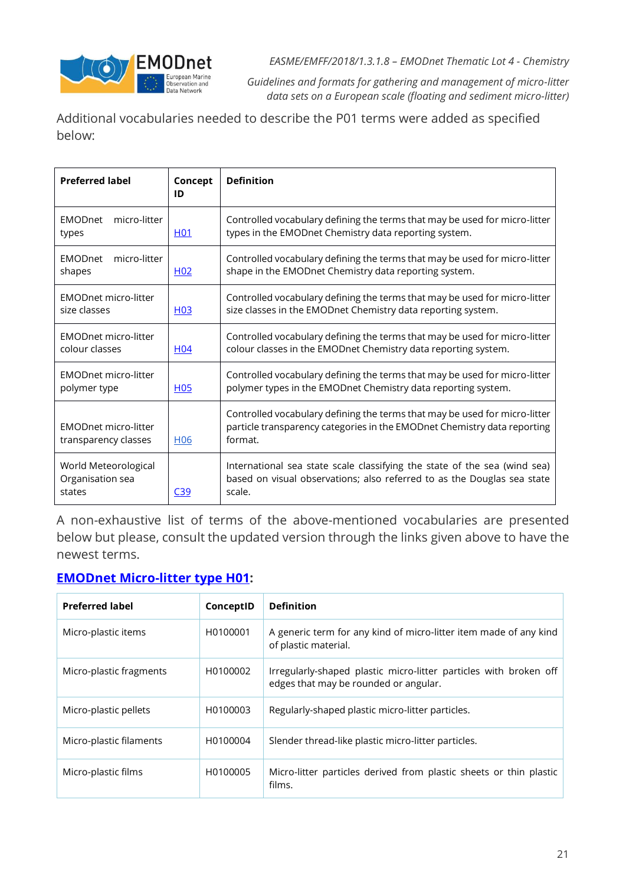

*Guidelines and formats for gathering and management of micro-litter data sets on a European scale (floating and sediment micro-litter)*

Additional vocabularies needed to describe the P01 terms were added as specified below:

| <b>Preferred label</b>                              | Concept<br>ID    | <b>Definition</b>                                                                                                                                                 |
|-----------------------------------------------------|------------------|-------------------------------------------------------------------------------------------------------------------------------------------------------------------|
| micro-litter<br><b>EMODnet</b><br>types             | H <sub>0</sub> 1 | Controlled vocabulary defining the terms that may be used for micro-litter<br>types in the EMODnet Chemistry data reporting system.                               |
| micro-litter<br><b>EMODnet</b><br>shapes            | H <sub>02</sub>  | Controlled vocabulary defining the terms that may be used for micro-litter<br>shape in the EMODnet Chemistry data reporting system.                               |
| <b>EMODnet micro-litter</b><br>size classes         | H <sub>03</sub>  | Controlled vocabulary defining the terms that may be used for micro-litter<br>size classes in the EMODnet Chemistry data reporting system.                        |
| <b>EMODnet micro-litter</b><br>colour classes       | H <sub>04</sub>  | Controlled vocabulary defining the terms that may be used for micro-litter<br>colour classes in the EMODnet Chemistry data reporting system.                      |
| <b>EMODnet micro-litter</b><br>polymer type         | H <sub>05</sub>  | Controlled vocabulary defining the terms that may be used for micro-litter<br>polymer types in the EMODnet Chemistry data reporting system.                       |
| <b>EMODnet micro-litter</b><br>transparency classes | H <sub>06</sub>  | Controlled vocabulary defining the terms that may be used for micro-litter<br>particle transparency categories in the EMODnet Chemistry data reporting<br>format. |
| World Meteorological<br>Organisation sea<br>states  | C39              | International sea state scale classifying the state of the sea (wind sea)<br>based on visual observations; also referred to as the Douglas sea state<br>scale.    |

A non-exhaustive list of terms of the above-mentioned vocabularies are presented below but please, consult the updated version through the links given above to have the newest terms.

#### **[EMODnet Micro-litter type H01:](http://vocab.nerc.ac.uk/collection/H01/current/)**

| <b>Preferred label</b>  | ConceptID | <b>Definition</b>                                                                                          |
|-------------------------|-----------|------------------------------------------------------------------------------------------------------------|
| Micro-plastic items     | H0100001  | A generic term for any kind of micro-litter item made of any kind<br>of plastic material.                  |
| Micro-plastic fragments | H0100002  | Irregularly-shaped plastic micro-litter particles with broken off<br>edges that may be rounded or angular. |
| Micro-plastic pellets   | H0100003  | Regularly-shaped plastic micro-litter particles.                                                           |
| Micro-plastic filaments | H0100004  | Slender thread-like plastic micro-litter particles.                                                        |
| Micro-plastic films     | H0100005  | Micro-litter particles derived from plastic sheets or thin plastic<br>films.                               |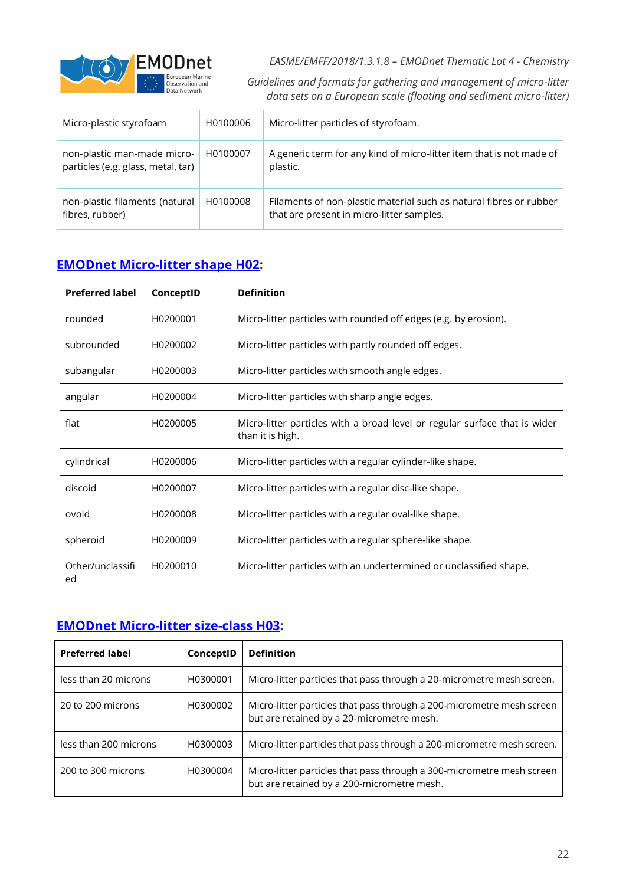

*Guidelines and formats for gathering and management of micro-litter data sets on a European scale (floating and sediment micro-litter)*

| Micro-plastic styrofoam                                           | H0100006 | Micro-litter particles of styrofoam.                                                                            |
|-------------------------------------------------------------------|----------|-----------------------------------------------------------------------------------------------------------------|
| non-plastic man-made micro-<br>particles (e.g. glass, metal, tar) | H0100007 | A generic term for any kind of micro-litter item that is not made of<br>plastic.                                |
| non-plastic filaments (natural<br>fibres, rubber)                 | H0100008 | Filaments of non-plastic material such as natural fibres or rubber<br>that are present in micro-litter samples. |

### **[EMODnet Micro-litter shape H02:](http://vocab.nerc.ac.uk/collection/H02/current/)**

| <b>Preferred label</b> | ConceptID | <b>Definition</b>                                                                              |
|------------------------|-----------|------------------------------------------------------------------------------------------------|
| rounded                | H0200001  | Micro-litter particles with rounded off edges (e.g. by erosion).                               |
| subrounded             | H0200002  | Micro-litter particles with partly rounded off edges.                                          |
| subangular             | H0200003  | Micro-litter particles with smooth angle edges.                                                |
| angular                | H0200004  | Micro-litter particles with sharp angle edges.                                                 |
| flat                   | H0200005  | Micro-litter particles with a broad level or regular surface that is wider<br>than it is high. |
| cylindrical            | H0200006  | Micro-litter particles with a regular cylinder-like shape.                                     |
| discoid                | H0200007  | Micro-litter particles with a regular disc-like shape.                                         |
| ovoid                  | H0200008  | Micro-litter particles with a regular oval-like shape.                                         |
| spheroid               | H0200009  | Micro-litter particles with a regular sphere-like shape.                                       |
| Other/unclassifi<br>ed | H0200010  | Micro-litter particles with an undertermined or unclassified shape.                            |

### **[EMODnet Micro-litter size-class H03:](http://vocab.nerc.ac.uk/collection/H03/current/)**

| <b>Preferred label</b> | ConceptID | <b>Definition</b>                                                                                                   |
|------------------------|-----------|---------------------------------------------------------------------------------------------------------------------|
| less than 20 microns   | H0300001  | Micro-litter particles that pass through a 20-micrometre mesh screen.                                               |
| 20 to 200 microns      | H0300002  | Micro-litter particles that pass through a 200-micrometre mesh screen<br>but are retained by a 20-micrometre mesh.  |
| less than 200 microns  | H0300003  | Micro-litter particles that pass through a 200-micrometre mesh screen.                                              |
| 200 to 300 microns     | H0300004  | Micro-litter particles that pass through a 300-micrometre mesh screen<br>but are retained by a 200-micrometre mesh. |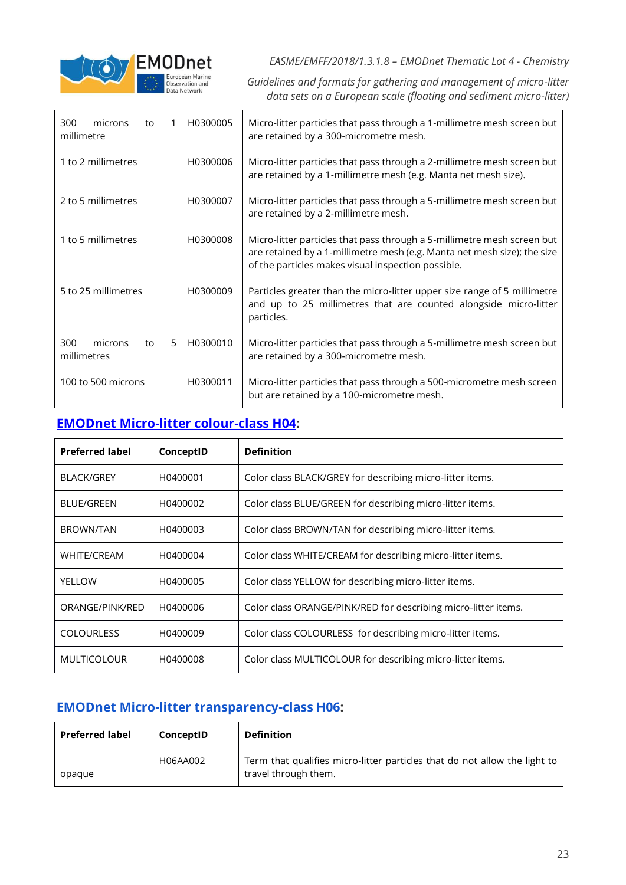

*Guidelines and formats for gathering and management of micro-litter data sets on a European scale (floating and sediment micro-litter)*

| 300<br>microns<br>to<br>millimetre       | H0300005 | Micro-litter particles that pass through a 1-millimetre mesh screen but<br>are retained by a 300-micrometre mesh.                                                                                         |
|------------------------------------------|----------|-----------------------------------------------------------------------------------------------------------------------------------------------------------------------------------------------------------|
| 1 to 2 millimetres                       | H0300006 | Micro-litter particles that pass through a 2-millimetre mesh screen but<br>are retained by a 1-millimetre mesh (e.g. Manta net mesh size).                                                                |
| 2 to 5 millimetres                       | H0300007 | Micro-litter particles that pass through a 5-millimetre mesh screen but<br>are retained by a 2-millimetre mesh.                                                                                           |
| 1 to 5 millimetres                       | H0300008 | Micro-litter particles that pass through a 5-millimetre mesh screen but<br>are retained by a 1-millimetre mesh (e.g. Manta net mesh size); the size<br>of the particles makes visual inspection possible. |
| 5 to 25 millimetres                      | H0300009 | Particles greater than the micro-litter upper size range of 5 millimetre<br>and up to 25 millimetres that are counted alongside micro-litter<br>particles.                                                |
| 300<br>microns<br>5<br>to<br>millimetres | H0300010 | Micro-litter particles that pass through a 5-millimetre mesh screen but<br>are retained by a 300-micrometre mesh.                                                                                         |
| 100 to 500 microns                       | H0300011 | Micro-litter particles that pass through a 500-micrometre mesh screen<br>but are retained by a 100-micrometre mesh.                                                                                       |

### **[EMODnet Micro-litter colour-class H04:](http://vocab.nerc.ac.uk/collection/H04/current/)**

| <b>Preferred label</b> | ConceptID | <b>Definition</b>                                              |  |
|------------------------|-----------|----------------------------------------------------------------|--|
| <b>BLACK/GREY</b>      | H0400001  | Color class BLACK/GREY for describing micro-litter items.      |  |
| <b>BLUE/GREEN</b>      | H0400002  | Color class BLUE/GREEN for describing micro-litter items.      |  |
| <b>BROWN/TAN</b>       | H0400003  | Color class BROWN/TAN for describing micro-litter items.       |  |
| <b>WHITE/CREAM</b>     | H0400004  | Color class WHITE/CREAM for describing micro-litter items.     |  |
| YELLOW                 | H0400005  | Color class YELLOW for describing micro-litter items.          |  |
| ORANGE/PINK/RED        | H0400006  | Color class ORANGE/PINK/RED for describing micro-litter items. |  |
| <b>COLOURLESS</b>      | H0400009  | Color class COLOURLESS for describing micro-litter items.      |  |
| <b>MULTICOLOUR</b>     | H0400008  | Color class MULTICOLOUR for describing micro-litter items.     |  |

#### **[EMODnet Micro-litter transparency-class H06:](http://vocab.nerc.ac.uk/collection/H06/current/)**

| <b>Preferred label</b> | ConceptID | <b>Definition</b>                                                                                 |
|------------------------|-----------|---------------------------------------------------------------------------------------------------|
| opague                 | H06AA002  | Term that qualifies micro-litter particles that do not allow the light to<br>travel through them. |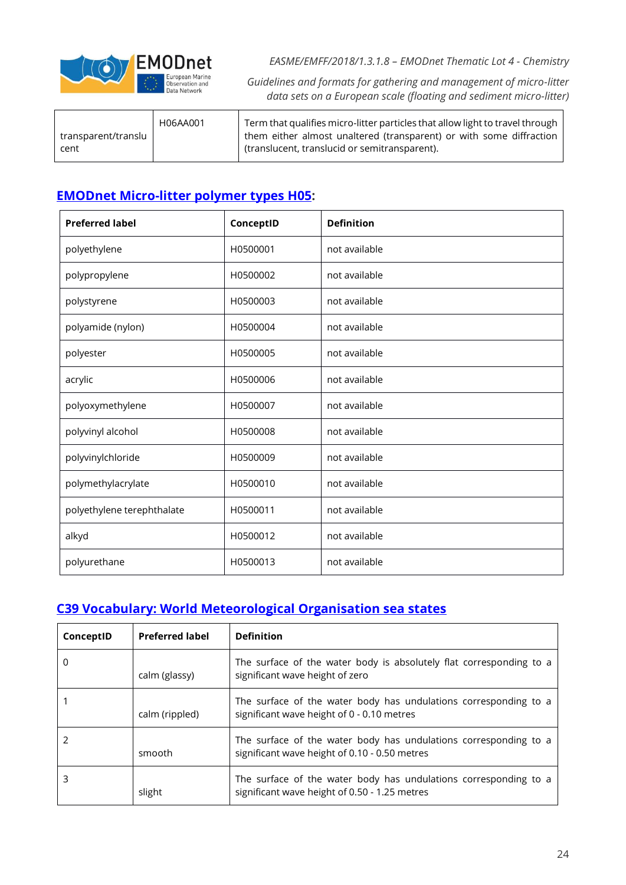

*Guidelines and formats for gathering and management of micro-litter data sets on a European scale (floating and sediment micro-litter)*

| transparent/translu | H06AA001 | Term that qualifies micro-litter particles that allow light to travel through<br>them either almost unaltered (transparent) or with some diffraction |
|---------------------|----------|------------------------------------------------------------------------------------------------------------------------------------------------------|
| cent                |          | (translucent, translucid or semitransparent).                                                                                                        |

### **[EMODnet Micro-litter polymer types H05:](http://vocab.nerc.ac.uk/collection/H05/current/)**

| <b>Preferred label</b>     | ConceptID | <b>Definition</b> |
|----------------------------|-----------|-------------------|
| polyethylene               | H0500001  | not available     |
| polypropylene              | H0500002  | not available     |
| polystyrene                | H0500003  | not available     |
| polyamide (nylon)          | H0500004  | not available     |
| polyester                  | H0500005  | not available     |
| acrylic                    | H0500006  | not available     |
| polyoxymethylene           | H0500007  | not available     |
| polyvinyl alcohol          | H0500008  | not available     |
| polyvinylchloride          | H0500009  | not available     |
| polymethylacrylate         | H0500010  | not available     |
| polyethylene terephthalate | H0500011  | not available     |
| alkyd                      | H0500012  | not available     |
| polyurethane               | H0500013  | not available     |

### **[C39 Vocabulary: World Meteorological Organisation sea states](http://vocab.nerc.ac.uk/collection/C39/current/)**

| ConceptID | <b>Preferred label</b> | <b>Definition</b>                                                                                                 |
|-----------|------------------------|-------------------------------------------------------------------------------------------------------------------|
| 0         | calm (glassy)          | The surface of the water body is absolutely flat corresponding to a<br>significant wave height of zero            |
|           | calm (rippled)         | The surface of the water body has undulations corresponding to a<br>significant wave height of 0 - 0.10 metres    |
|           | smooth                 | The surface of the water body has undulations corresponding to a<br>significant wave height of 0.10 - 0.50 metres |
| 3         | slight                 | The surface of the water body has undulations corresponding to a<br>significant wave height of 0.50 - 1.25 metres |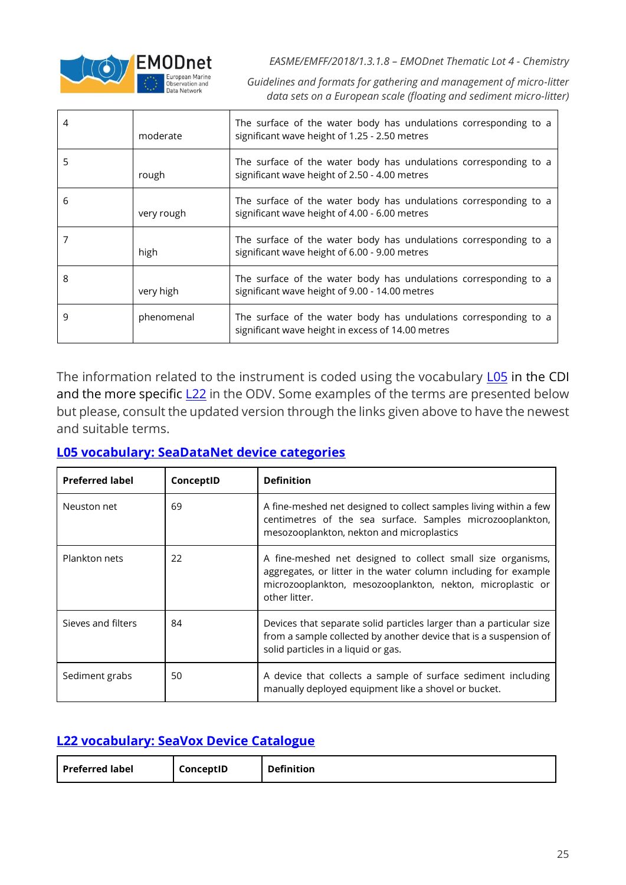

*Guidelines and formats for gathering and management of micro-litter data sets on a European scale (floating and sediment micro-litter)*

| 4 | moderate   | The surface of the water body has undulations corresponding to a<br>significant wave height of 1.25 - 2.50 metres     |
|---|------------|-----------------------------------------------------------------------------------------------------------------------|
|   | rough      | The surface of the water body has undulations corresponding to a<br>significant wave height of 2.50 - 4.00 metres     |
| 6 | very rough | The surface of the water body has undulations corresponding to a<br>significant wave height of 4.00 - 6.00 metres     |
|   | high       | The surface of the water body has undulations corresponding to a<br>significant wave height of 6.00 - 9.00 metres     |
| 8 | very high  | The surface of the water body has undulations corresponding to a<br>significant wave height of 9.00 - 14.00 metres    |
| 9 | phenomenal | The surface of the water body has undulations corresponding to a<br>significant wave height in excess of 14.00 metres |

The information related to the instrument is coded using the vocabulary LO5 in the CDI and the more specific  $L22$  in the ODV. Some examples of the terms are presented below but please, consult the updated version through the links given above to have the newest and suitable terms.

#### **[L05 vocabulary: SeaDataNet device categories](http://vocab.nerc.ac.uk/collection/L05/current/)**

| <b>Preferred label</b> | ConceptID | <b>Definition</b>                                                                                                                                                                                             |
|------------------------|-----------|---------------------------------------------------------------------------------------------------------------------------------------------------------------------------------------------------------------|
| Neuston net            | 69        | A fine-meshed net designed to collect samples living within a few<br>centimetres of the sea surface. Samples microzooplankton,<br>mesozooplankton, nekton and microplastics                                   |
| Plankton nets          | 22        | A fine-meshed net designed to collect small size organisms,<br>aggregates, or litter in the water column including for example<br>microzooplankton, mesozooplankton, nekton, microplastic or<br>other litter. |
| Sieves and filters     | 84        | Devices that separate solid particles larger than a particular size<br>from a sample collected by another device that is a suspension of<br>solid particles in a liquid or gas.                               |
| Sediment grabs         | 50        | A device that collects a sample of surface sediment including<br>manually deployed equipment like a shovel or bucket.                                                                                         |

### **[L22 vocabulary: SeaVox Device Catalogue](http://vocab.nerc.ac.uk/collection/L22/current/)**

| <b>Definition</b><br>ConceptID<br><b>Preferred label</b> |  |  |
|----------------------------------------------------------|--|--|
|----------------------------------------------------------|--|--|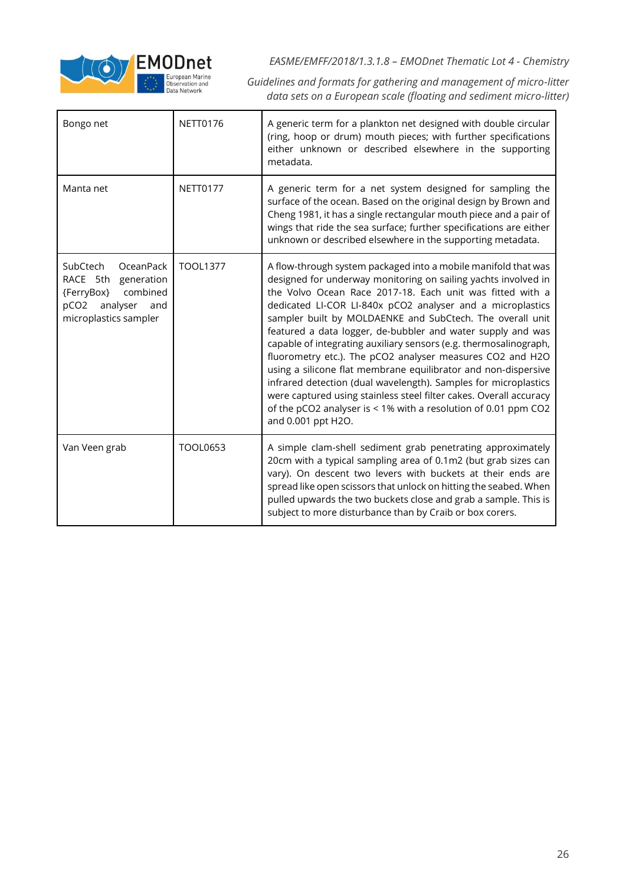

*Guidelines and formats for gathering and management of micro-litter data sets on a European scale (floating and sediment micro-litter)*

| Bongo net                                                                                                                              | <b>NETT0176</b> | A generic term for a plankton net designed with double circular<br>(ring, hoop or drum) mouth pieces; with further specifications<br>either unknown or described elsewhere in the supporting<br>metadata.                                                                                                                                                                                                                                                                                                                                                                                                                                                                                                                                                                                                                    |
|----------------------------------------------------------------------------------------------------------------------------------------|-----------------|------------------------------------------------------------------------------------------------------------------------------------------------------------------------------------------------------------------------------------------------------------------------------------------------------------------------------------------------------------------------------------------------------------------------------------------------------------------------------------------------------------------------------------------------------------------------------------------------------------------------------------------------------------------------------------------------------------------------------------------------------------------------------------------------------------------------------|
| Manta net                                                                                                                              | <b>NETT0177</b> | A generic term for a net system designed for sampling the<br>surface of the ocean. Based on the original design by Brown and<br>Cheng 1981, it has a single rectangular mouth piece and a pair of<br>wings that ride the sea surface; further specifications are either<br>unknown or described elsewhere in the supporting metadata.                                                                                                                                                                                                                                                                                                                                                                                                                                                                                        |
| OceanPack<br>SubCtech<br>RACE 5th generation<br>combined<br>{FerryBox}<br>pCO <sub>2</sub><br>analyser<br>and<br>microplastics sampler | <b>TOOL1377</b> | A flow-through system packaged into a mobile manifold that was<br>designed for underway monitoring on sailing yachts involved in<br>the Volvo Ocean Race 2017-18. Each unit was fitted with a<br>dedicated LI-COR LI-840x pCO2 analyser and a microplastics<br>sampler built by MOLDAENKE and SubCtech. The overall unit<br>featured a data logger, de-bubbler and water supply and was<br>capable of integrating auxiliary sensors (e.g. thermosalinograph,<br>fluorometry etc.). The pCO2 analyser measures CO2 and H2O<br>using a silicone flat membrane equilibrator and non-dispersive<br>infrared detection (dual wavelength). Samples for microplastics<br>were captured using stainless steel filter cakes. Overall accuracy<br>of the pCO2 analyser is < 1% with a resolution of 0.01 ppm CO2<br>and 0.001 ppt H2O. |
| Van Veen grab                                                                                                                          | <b>TOOL0653</b> | A simple clam-shell sediment grab penetrating approximately<br>20cm with a typical sampling area of 0.1m2 (but grab sizes can<br>vary). On descent two levers with buckets at their ends are<br>spread like open scissors that unlock on hitting the seabed. When<br>pulled upwards the two buckets close and grab a sample. This is<br>subject to more disturbance than by Craib or box corers.                                                                                                                                                                                                                                                                                                                                                                                                                             |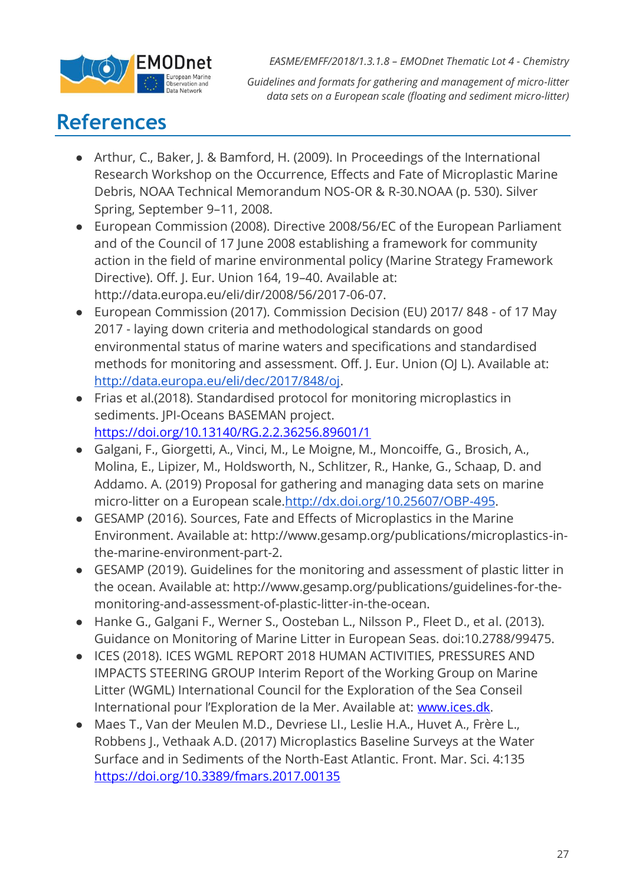

*Guidelines and formats for gathering and management of micro-litter data sets on a European scale (floating and sediment micro-litter)*

### **References**

- Arthur, C., Baker, J. & Bamford, H. (2009). In Proceedings of the International Research Workshop on the Occurrence, Effects and Fate of Microplastic Marine Debris, NOAA Technical Memorandum NOS-OR & R-30.NOAA (p. 530). Silver Spring, September 9–11, 2008.
- European Commission (2008). Directive 2008/56/EC of the European Parliament and of the Council of 17 June 2008 establishing a framework for community action in the field of marine environmental policy (Marine Strategy Framework Directive). Off. J. Eur. Union 164, 19–40. Available at: http://data.europa.eu/eli/dir/2008/56/2017-06-07.
- European Commission (2017). Commission Decision (EU) 2017/ 848 of 17 May 2017 - laying down criteria and methodological standards on good environmental status of marine waters and specifications and standardised methods for monitoring and assessment. Off. J. Eur. Union (OJ L). Available at: [http://data.europa.eu/eli/dec/2017/848/oj.](http://data.europa.eu/eli/dec/2017/848/oj)
- Frias et al.(2018). Standardised protocol for monitoring microplastics in sediments. JPI-Oceans BASEMAN project. <https://doi.org/10.13140/RG.2.2.36256.89601/1>
- Galgani, F., Giorgetti, A., Vinci, M., Le Moigne, M., Moncoiffe, G., Brosich, A., Molina, E., Lipizer, M., Holdsworth, N., Schlitzer, R., Hanke, G., Schaap, D. and Addamo. A. (2019) Proposal for gathering and managing data sets on marine micro-litter on a European scale[.http://dx.doi.org/10.25607/OBP-495.](http://dx.doi.org/10.25607/OBP-495)
- GESAMP (2016). Sources, Fate and Effects of Microplastics in the Marine Environment. Available at: http://www.gesamp.org/publications/microplastics-inthe-marine-environment-part-2.
- GESAMP (2019). Guidelines for the monitoring and assessment of plastic litter in the ocean. Available at: http://www.gesamp.org/publications/guidelines-for-themonitoring-and-assessment-of-plastic-litter-in-the-ocean.
- Hanke G., Galgani F., Werner S., Oosteban L., Nilsson P., Fleet D., et al. (2013). Guidance on Monitoring of Marine Litter in European Seas. doi:10.2788/99475.
- ICES (2018). ICES WGML REPORT 2018 HUMAN ACTIVITIES, PRESSURES AND IMPACTS STEERING GROUP Interim Report of the Working Group on Marine Litter (WGML) International Council for the Exploration of the Sea Conseil International pour l'Exploration de la Mer. Available at: [www.ices.dk.](http://www.ices.dk/)
- Maes T., Van der Meulen M.D., Devriese LI., Leslie H.A., Huvet A., Frère L., Robbens J., Vethaak A.D. (2017) Microplastics Baseline Surveys at the Water Surface and in Sediments of the North-East Atlantic. Front. Mar. Sci. 4:135 <https://doi.org/10.3389/fmars.2017.00135>